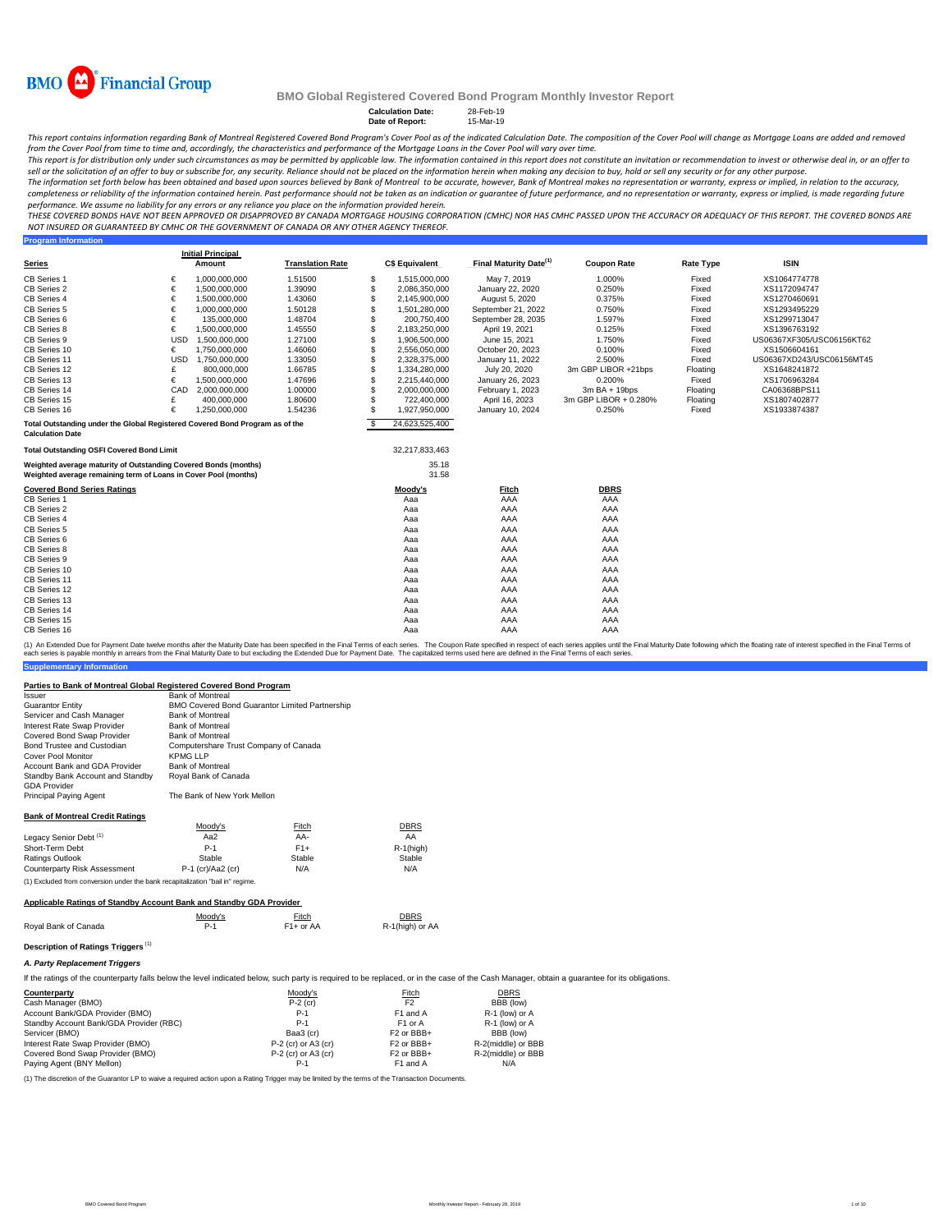

**Calculation Date:** 28-Feb-19<br> **Date of Report:** 15-Mar-19

**Date of Report:** 

This report contains information regarding Bank of Montreal Registered Covered Bond Program's Cover Pool s of the indicated Calculation Date. The composition of the Cover Pool will change as Mortgage Loans are added and re

.<br>This report is for distribution only under such circumstances as may be permitted by applicable law. The information contained in this report does not constitute an invitation or recommendation to invest or otherwise dea *sell or the solicitation of an offer to buy or subscribe for, any security. Reliance should not be placed on the information herein when making any decision to buy, hold or sell any security or for any other purpose.*

The information set forth below has been obtained and based upon sources believed by Bank of Montreal to be accurate, however, Bank of Montreal makes no representation or warranty, express or implied, in relation to the ac completeness or reliability of the information contained herein. Past performance should not be taken as an indication or quarantee of future performance, and no representation or warranty, express or implied, is made rega *performance. We assume no liability for any errors or any reliance you place on the information provided herein.*

*THESE COVERED BONDS HAVE NOT BEEN APPROVED OR DISAPPROVED BY CANADA MORTGAGE HOUSING CORPORATION (CMHC) NOR HAS CMHC PASSED UPON THE ACCURACY OR ADEQUACY OF THIS REPORT. THE COVERED BONDS ARE NOT INSURED OR GUARANTEED BY CMHC OR THE GOVERNMENT OF CANADA OR ANY OTHER AGENCY THEREOF.*

| <b>Program Information</b>                                                   |            |                          |                         |          |                       |                                    |                       |                  |                           |
|------------------------------------------------------------------------------|------------|--------------------------|-------------------------|----------|-----------------------|------------------------------------|-----------------------|------------------|---------------------------|
|                                                                              |            | <b>Initial Principal</b> |                         |          |                       |                                    |                       |                  |                           |
| <b>Series</b>                                                                |            | Amount                   | <b>Translation Rate</b> |          | <b>C\$ Equivalent</b> | Final Maturity Date <sup>(1)</sup> | <b>Coupon Rate</b>    | <b>Rate Type</b> | <b>ISIN</b>               |
| CB Series 1                                                                  | €          | 1,000,000,000            | 1.51500                 | S        | 1,515,000,000         | May 7, 2019                        | 1.000%                | Fixed            | XS1064774778              |
| CB Series 2                                                                  | €          | 1,500,000,000            | 1.39090                 | S        | 2.086.350.000         | January 22, 2020                   | 0.250%                | Fixed            | XS1172094747              |
| CB Series 4                                                                  | €          | 1,500,000,000            | 1.43060                 | S        | 2,145,900,000         | August 5, 2020                     | 0.375%                | Fixed            | XS1270460691              |
| CB Series 5                                                                  | €          | 1,000,000,000            | 1.50128                 | S        | 1,501,280,000         | September 21, 2022                 | 0.750%                | Fixed            | XS1293495229              |
| CB Series 6                                                                  | €          | 135,000,000              | 1.48704                 | \$.      | 200,750,400           | September 28, 2035                 | 1.597%                | Fixed            | XS1299713047              |
| CB Series 8                                                                  | €          | 1,500,000,000            | 1.45550                 | S        | 2,183,250,000         | April 19, 2021                     | 0.125%                | Fixed            | XS1396763192              |
| CB Series 9                                                                  | <b>USD</b> | 1,500,000,000            | 1.27100                 | S        | 1,906,500,000         | June 15, 2021                      | 1.750%                | Fixed            | US06367XF305/USC06156KT62 |
| CB Series 10                                                                 | €          | 1.750.000.000            | 1.46060                 | S        | 2.556.050.000         | October 20, 2023                   | 0.100%                | Fixed            | XS1506604161              |
| CB Series 11                                                                 | <b>USD</b> | 1,750,000,000            | 1.33050                 | S        | 2,328,375,000         | January 11, 2022                   | 2.500%                | Fixed            | US06367XD243/USC06156MT45 |
| CB Series 12                                                                 | £          | 800,000,000              | 1.66785                 | S        | 1,334,280,000         | July 20, 2020                      | 3m GBP LIBOR +21bps   | Floating         | XS1648241872              |
| CB Series 13                                                                 | €          | 1,500,000,000            | 1.47696                 | S        | 2,215,440,000         | January 26, 2023                   | 0.200%                | Fixed            | XS1706963284              |
| CB Series 14                                                                 | CAD        | 2.000.000.000            | 1.00000                 | S        | 2.000.000.000         | February 1, 2023                   | $3mBA + 19bps$        | Floating         | CA06368BPS11              |
| CB Series 15                                                                 | £          | 400,000,000              | 1.80600                 | S        | 722,400,000           | April 16, 2023                     | 3m GBP LIBOR + 0.280% | Floating         | XS1807402877              |
| CB Series 16                                                                 | €          | 1,250,000,000            | 1.54236                 | £.       | 1,927,950,000         | January 10, 2024                   | 0.250%                | Fixed            | XS1933874387              |
| Total Outstanding under the Global Registered Covered Bond Program as of the |            |                          |                         | <b>S</b> | 24,623,525,400        |                                    |                       |                  |                           |
| <b>Calculation Date</b>                                                      |            |                          |                         |          |                       |                                    |                       |                  |                           |
| <b>Total Outstanding OSFI Covered Bond Limit</b>                             |            |                          |                         |          | 32,217,833,463        |                                    |                       |                  |                           |
| Weighted average maturity of Outstanding Covered Bonds (months)              |            |                          |                         |          | 35.18                 |                                    |                       |                  |                           |
| Weighted average remaining term of Loans in Cover Pool (months)              |            |                          |                         |          | 31.58                 |                                    |                       |                  |                           |
| <b>Covered Bond Series Ratings</b>                                           |            |                          |                         |          | Moody's               | <b>Fitch</b>                       | <b>DBRS</b>           |                  |                           |
| CB Series 1                                                                  |            |                          |                         |          | Aaa                   | AAA                                | AAA                   |                  |                           |
| CB Series 2                                                                  |            |                          |                         |          | Aaa                   | AAA                                | AAA                   |                  |                           |
| CB Series 4                                                                  |            |                          |                         |          | Aaa                   | AAA                                | AAA                   |                  |                           |
| CB Series 5                                                                  |            |                          |                         |          | Aaa                   | AAA                                | AAA                   |                  |                           |
| CB Series 6                                                                  |            |                          |                         |          | Aaa                   | AAA                                | AAA                   |                  |                           |
| CB Series 8                                                                  |            |                          |                         |          | Aaa                   | AAA                                | AAA                   |                  |                           |
| CB Series 9                                                                  |            |                          |                         |          | Aaa                   | AAA                                | AAA                   |                  |                           |
| CB Series 10                                                                 |            |                          |                         |          | Aaa                   | AAA                                | AAA                   |                  |                           |
| CB Series 11                                                                 |            |                          |                         |          | Aaa                   | AAA                                | AAA                   |                  |                           |
| CB Series 12                                                                 |            |                          |                         |          | Aaa                   | AAA                                | AAA                   |                  |                           |
| CB Series 13                                                                 |            |                          |                         |          | Aaa                   | AAA                                | AAA                   |                  |                           |
| CB Series 14                                                                 |            |                          |                         |          | Aaa                   | AAA                                | AAA                   |                  |                           |
| CB Series 15                                                                 |            |                          |                         |          | Aaa                   | AAA                                | AAA                   |                  |                           |
| CB Series 16                                                                 |            |                          |                         |          | Aaa                   | AAA                                | AAA                   |                  |                           |

**Supplementary Information** (1) An Extended Due for Payment Date welve months after the Maturity Date has been specified in the Final Materms of each series. The Coupon Rate specified that the specified in the Final Maturity Date to least the Final T

### **Parties to Bank of Montreal Global Registered Covered Bond Program**

| Issuer                                 | <b>Bank of Montreal</b>                               |
|----------------------------------------|-------------------------------------------------------|
| <b>Guarantor Entity</b>                | <b>BMO Covered Bond Guarantor Limited Partnership</b> |
| Servicer and Cash Manager              | <b>Bank of Montreal</b>                               |
| Interest Rate Swap Provider            | <b>Bank of Montreal</b>                               |
| Covered Bond Swap Provider             | <b>Bank of Montreal</b>                               |
| Bond Trustee and Custodian             | Computershare Trust Company of Canada                 |
| Cover Pool Monitor                     | KPMG LLP                                              |
| Account Bank and GDA Provider          | <b>Bank of Montreal</b>                               |
| Standby Bank Account and Standby       | Royal Bank of Canada                                  |
| <b>GDA Provider</b>                    |                                                       |
| <b>Principal Paying Agent</b>          | The Bank of New York Mellon                           |
|                                        |                                                       |
| <b>Bank of Montreal Credit Ratings</b> |                                                       |

| <b>Path of Moth Car Olyun Ruthlas</b> |                     |              |          |
|---------------------------------------|---------------------|--------------|----------|
|                                       | Moody's             | <b>Fitch</b> | DBRS     |
| Legacy Senior Debt <sup>(1)</sup>     | Aa $2$              | AA-          | AA       |
| Short-Term Debt                       | $P-1$               | $F1+$        | R-1(higi |
| Ratings Outlook                       | Stable              | Stable       | Stable   |
| Counterparty Risk Assessment          | $P-1$ (cr)/Aa2 (cr) | N/A          | N/A      |

(1) Excluded from conversion under the bank recapitalization "bail in" regime.

### **Applicable Ratings of Standby Account Bank and Standby GDA Provider**

| Moody's | Fitch<br><u> The Communication of the Communication of the Communication of the Communication of the Communication of the Communication of the Communication of the Communication of the Communication of the Communication of the Commun</u> | DBRS<br><u> The Communication of the Communication of the Communication of the Communication of the Communication of the Communication of the Communication of the Communication of the Communication of the Communication of the Commun</u> |
|---------|-----------------------------------------------------------------------------------------------------------------------------------------------------------------------------------------------------------------------------------------------|----------------------------------------------------------------------------------------------------------------------------------------------------------------------------------------------------------------------------------------------|
| $P-1$   | $F1+$ or AA                                                                                                                                                                                                                                   | R-1(high) or AA                                                                                                                                                                                                                              |
|         |                                                                                                                                                                                                                                               |                                                                                                                                                                                                                                              |

## **Description of Ratings Triggers** (1) *A. Party Replacement Triggers*

If the ratings of the counterparty falls below the level indicated below, such party is required to be replaced, or in the case of the Cash Manager, obtain a guarantee for its obligations.

R-1(high)<br>Stable

| Counterparty                            | Moody's               | Fitch                  | DBRS               |
|-----------------------------------------|-----------------------|------------------------|--------------------|
| Cash Manager (BMO)                      | $P-2$ (cr)            | F <sub>2</sub>         | BBB (low)          |
| Account Bank/GDA Provider (BMO)         | $P-1$                 | F1 and A               | R-1 (low) or A     |
| Standby Account Bank/GDA Provider (RBC) | $P-1$                 | F <sub>1</sub> or A    | R-1 (low) or A     |
| Servicer (BMO)                          | Baa3 (cr)             | F <sub>2</sub> or BBB+ | BBB (low)          |
| Interest Rate Swap Provider (BMO)       | $P-2$ (cr) or A3 (cr) | F <sub>2</sub> or BBB+ | R-2(middle) or BBB |
| Covered Bond Swap Provider (BMO)        | $P-2$ (cr) or A3 (cr) | F <sub>2</sub> or BBB+ | R-2(middle) or BBB |
| Paying Agent (BNY Mellon)               | P-1                   | F1 and A               | N/A                |

(1) The discretion of the Guarantor LP to waive a required action upon a Rating Trigger may be limited by the terms of the Transaction Documents.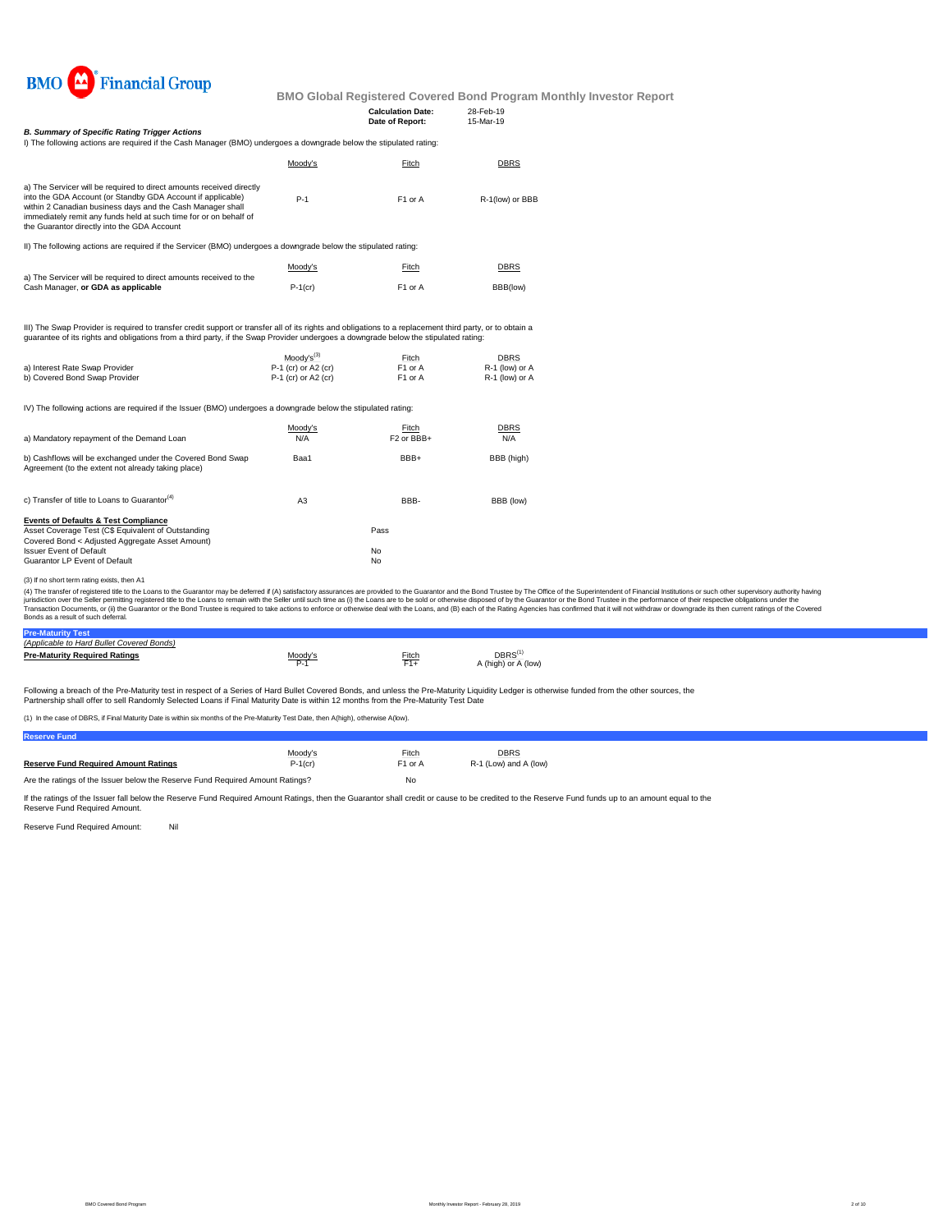

|                                                                                                                                                                                                                                                                                                                       |                                            | <b>Calculation Date:</b><br>Date of Report: | 28-Feb-19<br>15-Mar-19           |  |
|-----------------------------------------------------------------------------------------------------------------------------------------------------------------------------------------------------------------------------------------------------------------------------------------------------------------------|--------------------------------------------|---------------------------------------------|----------------------------------|--|
| <b>B. Summary of Specific Rating Trigger Actions</b><br>I) The following actions are required if the Cash Manager (BMO) undergoes a downgrade below the stipulated rating:                                                                                                                                            |                                            |                                             |                                  |  |
|                                                                                                                                                                                                                                                                                                                       | Moody's                                    | Fitch                                       | DBRS                             |  |
| a) The Servicer will be required to direct amounts received directly<br>into the GDA Account (or Standby GDA Account if applicable)<br>within 2 Canadian business days and the Cash Manager shall<br>immediately remit any funds held at such time for or on behalf of<br>the Guarantor directly into the GDA Account | $P-1$                                      | F1 or A                                     | R-1(low) or BBB                  |  |
| II) The following actions are required if the Servicer (BMO) undergoes a downgrade below the stipulated rating:                                                                                                                                                                                                       |                                            |                                             |                                  |  |
|                                                                                                                                                                                                                                                                                                                       | Moody's                                    | Fitch                                       | <b>DBRS</b>                      |  |
| a) The Servicer will be required to direct amounts received to the<br>Cash Manager, or GDA as applicable                                                                                                                                                                                                              | $P-1$ (cr)                                 | F1 or A                                     | BBB(low)                         |  |
| III) The Swap Provider is required to transfer credit support or transfer all of its rights and obligations to a replacement third party, or to obtain a<br>quarantee of its rights and obligations from a third party, if the Swap Provider undergoes a downgrade below the stipulated rating:                       |                                            |                                             |                                  |  |
|                                                                                                                                                                                                                                                                                                                       | Moody's <sup>(3)</sup>                     | Fitch                                       | DBRS                             |  |
| a) Interest Rate Swap Provider<br>b) Covered Bond Swap Provider                                                                                                                                                                                                                                                       | P-1 (cr) or A2 (cr)<br>P-1 (cr) or A2 (cr) | F1 or A<br>F1 or A                          | R-1 (low) or A<br>R-1 (low) or A |  |
| IV) The following actions are required if the Issuer (BMO) undergoes a downgrade below the stipulated rating:                                                                                                                                                                                                         |                                            |                                             |                                  |  |
| a) Mandatory repayment of the Demand Loan                                                                                                                                                                                                                                                                             | Moody's<br>N/A                             | Fitch<br>F <sub>2</sub> or BBB+             | DBRS<br>N/A                      |  |
| b) Cashflows will be exchanged under the Covered Bond Swap<br>Agreement (to the extent not already taking place)                                                                                                                                                                                                      | Baa1                                       | BBB+                                        | BBB (high)                       |  |
| c) Transfer of title to Loans to Guarantor <sup>(4)</sup>                                                                                                                                                                                                                                                             | A <sub>3</sub>                             | BBB-                                        | BBB (low)                        |  |
| <b>Events of Defaults &amp; Test Compliance</b><br>Asset Coverage Test (C\$ Equivalent of Outstanding<br>Covered Bond < Adjusted Aggregate Asset Amount)                                                                                                                                                              |                                            | Pass                                        |                                  |  |
| <b>Issuer Event of Default</b><br>Guarantor LP Event of Default                                                                                                                                                                                                                                                       |                                            | No<br>No                                    |                                  |  |
|                                                                                                                                                                                                                                                                                                                       |                                            |                                             |                                  |  |

### (3) If no short term rating exists, then A1

(4) The transfer of registered title to the Loans to the Guarantor may be deferred if (A) satisfactory assurances are provided to the Guarantor and the Bond Trustee by The Office of the Superintendent of Financial Institut Bonds as a result of such deferral.

| (Applicable to Hard Bullet Covered Bonds) |         |       |                                          |
|-------------------------------------------|---------|-------|------------------------------------------|
| <b>Pre-Maturity Required Ratings</b>      | Moody's | Fitch | $\mathsf{DBRS}^0$<br>A (high) or A (low) |

Following a breach of the Pre-Maturity test in respect of a Series of Hard Bullet Covered Bonds, and unless the Pre-Maturity Liquidity Ledger is otherwise funded from the other sources, the<br>Partnership shall offer to sell

(1) In the case of DBRS, if Final Maturity Date is within six months of the Pre-Maturity Test Date, then A(high), otherwise A(low).

| <b>Reserve Fund</b>                                                           |            |                     |                       |
|-------------------------------------------------------------------------------|------------|---------------------|-----------------------|
|                                                                               | Moodv's    | Fitch               | <b>DBRS</b>           |
| <b>Reserve Fund Required Amount Ratings</b>                                   | $P-1$ (cr) | F <sub>1</sub> or A | R-1 (Low) and A (low) |
| Are the ratings of the Issuer below the Reserve Fund Required Amount Ratings? |            | No                  |                       |

If the ratings of the Issuer fall below the Reserve Fund Required Amount Ratings, then the Guarantor shall credit or cause to be credited to the Reserve Fund funds up to an amount equal to the<br>Reserve Fund Required Amount.

Reserve Fund Required Amount: Nil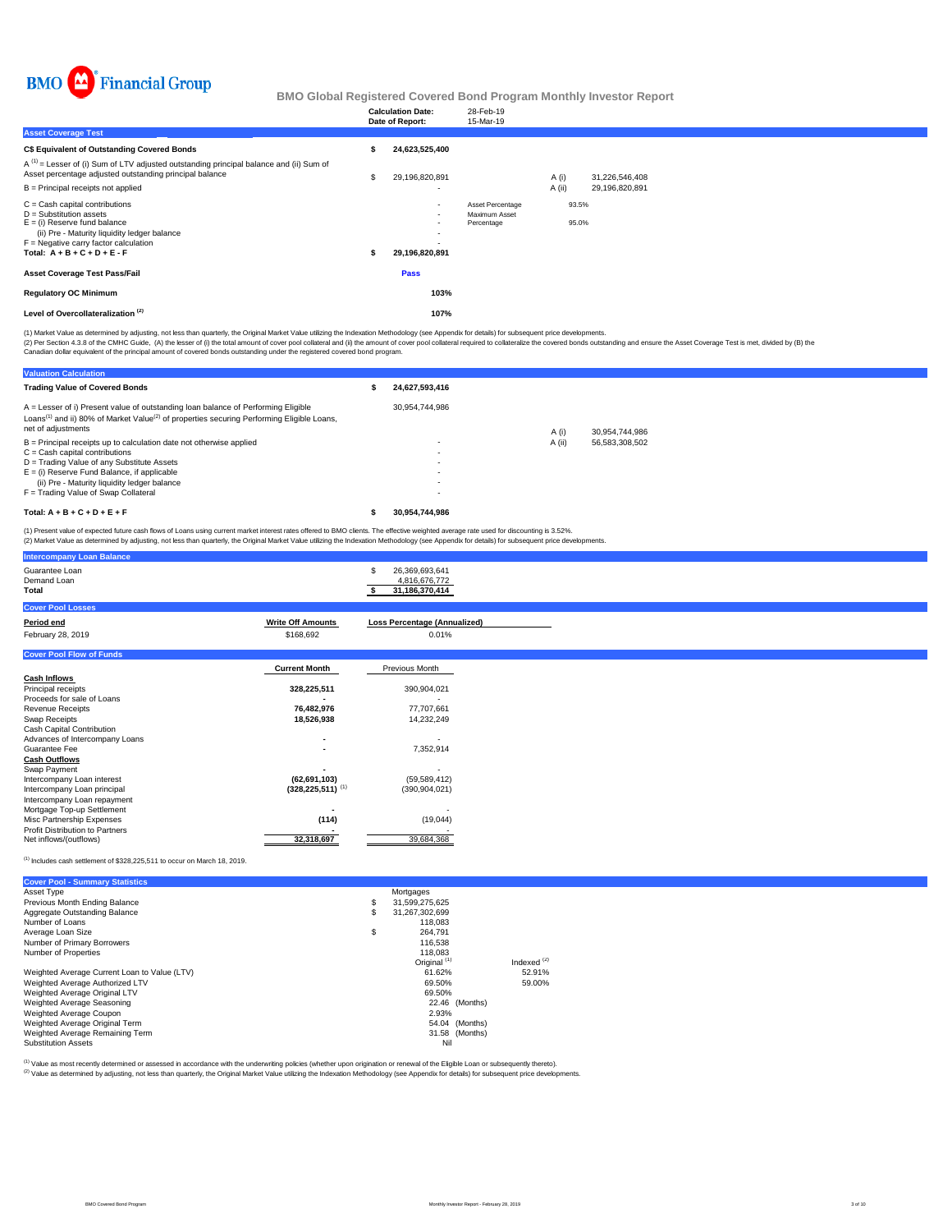

|                                                                                                                                                                                                                              | <b>Calculation Date:</b><br>Date of Report:                                                                          | 28-Feb-19<br>15-Mar-19                          |          |                |                |
|------------------------------------------------------------------------------------------------------------------------------------------------------------------------------------------------------------------------------|----------------------------------------------------------------------------------------------------------------------|-------------------------------------------------|----------|----------------|----------------|
| <b>Asset Coverage Test</b>                                                                                                                                                                                                   |                                                                                                                      |                                                 |          |                |                |
| C\$ Equivalent of Outstanding Covered Bonds                                                                                                                                                                                  | 24,623,525,400                                                                                                       |                                                 |          |                |                |
| $A^{(1)}$ = Lesser of (i) Sum of LTV adjusted outstanding principal balance and (ii) Sum of<br>Asset percentage adjusted outstanding principal balance                                                                       | 29,196,820,891                                                                                                       |                                                 | A (i)    |                | 31,226,546,408 |
| $B =$ Principal receipts not applied                                                                                                                                                                                         |                                                                                                                      |                                                 | $A$ (ii) |                | 29,196,820,891 |
| $C =$ Cash capital contributions<br>$D =$ Substitution assets<br>$E =$ (i) Reserve fund balance<br>(ii) Pre - Maturity liquidity ledger balance<br>$F =$ Negative carry factor calculation<br>Total: $A + B + C + D + E - F$ | $\overline{\phantom{a}}$<br>$\blacksquare$<br>$\overline{\phantom{a}}$<br>$\overline{\phantom{a}}$<br>29,196,820,891 | Asset Percentage<br>Maximum Asset<br>Percentage |          | 93.5%<br>95.0% |                |
| <b>Asset Coverage Test Pass/Fail</b>                                                                                                                                                                                         | Pass                                                                                                                 |                                                 |          |                |                |
| <b>Regulatory OC Minimum</b>                                                                                                                                                                                                 | 103%                                                                                                                 |                                                 |          |                |                |
| Level of Overcollateralization <sup>(2)</sup>                                                                                                                                                                                | 107%                                                                                                                 |                                                 |          |                |                |

(1) Market Value as determined by adjusting, not less than quarterly, the Original Market Value utilizing the Indexation Methodology (see Appendix for details) for subsequent price developments.

(2) Per Section 4.3.8 of the CMHC Guide, (A) the lesser of (i) the total amount of cover pool collateral and (ii) the amount of covered bonds departed and chase the overed bonds by (B) the Calculation of the policial exper

**Valuation Calculation** Trading Value of Covered Bonds<br> **Example 24,627,593,416**  30,954,744,986 A (i) 30,954,744,986<br>A (ii) 56,583,308,502 B = Principal receipts up to calculation date not otherwise applied - A (ii) 56,583,308,502 C = Cash capital contributions - D = Trading Value of any Substitute Assets - E = (i) Reserve Fund Balance, if applicable - (ii) Pre - Maturity liquidity ledger balance - F = Trading Value of Swap Collateral - **Total: A + B + C + D + E + F \$ 30,954,744,986** A = Lesser of i) Present value of outstanding loan balance of Performing Eligible Loans<sup>(1)</sup> and ii) 80% of Market Value<sup>(2)</sup> of properties securing Performing Eligible Loans, net of adjustments

(1) Present value of expected future cash flows of Loans using current market interest rates offered to BMO clients. The effective weighted average rate used for discounting is 3.52%. (2) Market Value as determined by adjusting, not less than quarterly, the Original Market Value utilizing the Indexation Methodology (see Appendix for details) for subsequent price developments.

| <b>Intercompany Loan Balance</b> |                          |                                     |
|----------------------------------|--------------------------|-------------------------------------|
| Guarantee Loan<br>Demand Loan    |                          | 26,369,693,641<br>4.816.676.772     |
| Total                            |                          | 31,186,370,414                      |
| <b>Cover Pool Losses</b>         |                          |                                     |
| Period end                       | <b>Write Off Amounts</b> | <b>Loss Percentage (Annualized)</b> |
| February 28, 2019                | \$168,692                | 0.01%                               |
| <b>Cover Pool Flow of Funds</b>  |                          |                                     |
|                                  | <b>Current Month</b>     | Previous Month                      |
| <b>Cash Inflows</b>              |                          |                                     |
| Principal receipts               | 328,225,511              | 390,904,021                         |
| Proceeds for sale of Loans       |                          |                                     |
| <b>Revenue Receipts</b>          | 76,482,976               | 77,707,661                          |
| $\sim$ $\sim$ $\sim$             | $\overline{\phantom{a}}$ | 1.0000000000                        |

| Swap Receipts                          | 18.526.938            | 14.232.249     |
|----------------------------------------|-----------------------|----------------|
| Cash Capital Contribution              |                       |                |
| Advances of Intercompany Loans         |                       |                |
| Guarantee Fee                          | ٠                     | 7,352,914      |
| Cash Outflows                          |                       |                |
| Swap Payment                           |                       |                |
| Intercompany Loan interest             | (62, 691, 103)        | (59, 589, 412) |
| Intercompany Loan principal            | $(328.225.511)^{(1)}$ | (390.904.021)  |
| Intercompany Loan repayment            |                       |                |
| Mortgage Top-up Settlement             |                       |                |
| Misc Partnership Expenses              | (114)                 | (19, 044)      |
| <b>Profit Distribution to Partners</b> |                       |                |
| Net inflows/(outflows)                 | 32.318.697            | 39.684.368     |
|                                        |                       |                |

(1) Includes cash settlement of \$328,225,511 to occur on March 18, 2019.

| <b>Cover Pool - Summary Statistics</b>       |    |                         |               |
|----------------------------------------------|----|-------------------------|---------------|
| Asset Type                                   |    | Mortgages               |               |
| Previous Month Ending Balance                | \$ | 31,599,275,625          |               |
| Aggregate Outstanding Balance                | S  | 31.267.302.699          |               |
| Number of Loans                              |    | 118,083                 |               |
| Average Loan Size                            | \$ | 264.791                 |               |
| Number of Primary Borrowers                  |    | 116,538                 |               |
| Number of Properties                         |    | 118,083                 |               |
|                                              |    | Original <sup>(1)</sup> | Indexed $(2)$ |
| Weighted Average Current Loan to Value (LTV) |    | 61.62%                  | 52.91%        |
| Weighted Average Authorized LTV              |    | 69.50%                  | 59.00%        |
| Weighted Average Original LTV                |    | 69.50%                  |               |
| Weighted Average Seasoning                   |    | 22.46 (Months)          |               |
| Weighted Average Coupon                      |    | 2.93%                   |               |
| Weighted Average Original Term               |    | 54.04 (Months)          |               |
| Weighted Average Remaining Term              |    | 31.58 (Months)          |               |
| <b>Substitution Assets</b>                   |    | Nil                     |               |

(2) Value as determined by adjusting, not less than quarterly, the Original Market Value utilizing the Indexation Methodology (see Appendix for details) for subsequent price developments. (1) Value as most recently determined or assessed in accordance with the underwriting policies (whether upon origination or renewal of the Eligible Loan or subsequently thereto).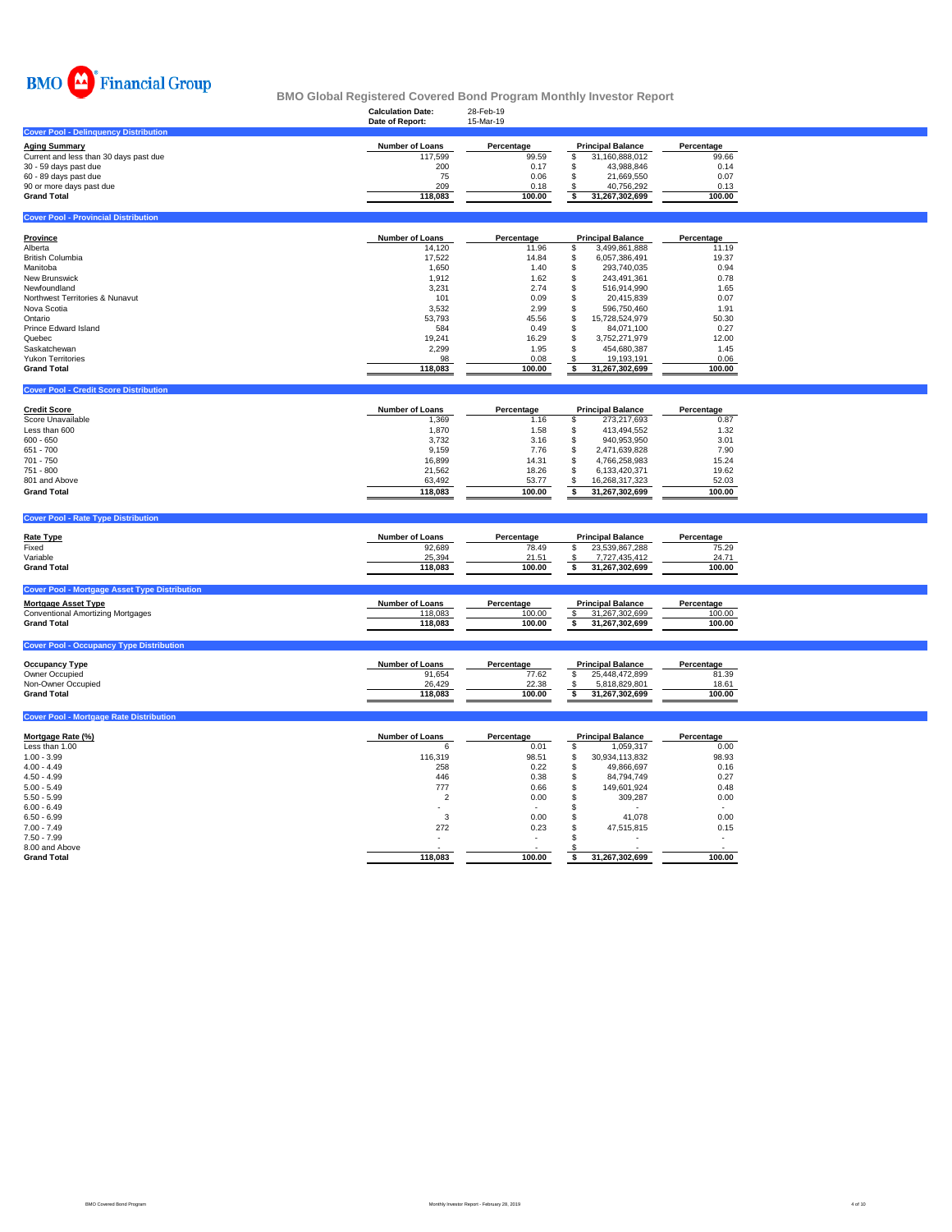

|                                                | <b>Calculation Date:</b> | 28-Feb-19  |                          |            |
|------------------------------------------------|--------------------------|------------|--------------------------|------------|
|                                                | Date of Report:          | 15-Mar-19  |                          |            |
| <b>Cover Pool - Delinguency Distribution</b>   |                          |            |                          |            |
| <b>Aging Summary</b>                           | <b>Number of Loans</b>   | Percentage | <b>Principal Balance</b> | Percentage |
| Current and less than 30 days past due         | 117,599                  | 99.59      | 31,160,888,012<br>\$.    | 99.66      |
| 30 - 59 days past due                          | 200                      | 0.17       | 43.988.846               | 0.14       |
| 60 - 89 days past due                          | 75                       | 0.06       | 21,669,550               | 0.07       |
|                                                | 209                      | 0.18       | 40,756,292               | 0.13       |
| 90 or more days past due<br><b>Grand Total</b> | 118,083                  | 100.00     | 31,267,302,699           | 100.00     |
|                                                |                          |            |                          |            |
| <b>Cover Pool - Provincial Distribution</b>    |                          |            |                          |            |
|                                                |                          |            |                          |            |
| Province                                       | <b>Number of Loans</b>   | Percentage | <b>Principal Balance</b> | Percentage |
| Alberta                                        | 14,120                   | 11.96      | 3,499,861,888<br>S       | 11.19      |
| <b>British Columbia</b>                        | 17.522                   | 14.84      | 6,057,386,491            | 19.37      |
| Manitoba                                       | 1,650                    | 1.40       | 293,740,035              | 0.94       |
| <b>New Brunswick</b>                           | 1,912                    | 1.62       | 243,491,361              | 0.78       |
| Newfoundland                                   | 3,231                    | 2.74       | 516.914.990              | 1.65       |
| Northwest Territories & Nunavut                | 101                      | 0.09       | 20,415,839               | 0.07       |
| Nova Scotia                                    | 3,532                    | 2.99       | 596.750.460              | 1.91       |
| Ontario                                        | 53.793                   | 45.56      | 15,728,524,979           | 50.30      |
| <b>Prince Edward Island</b>                    | 584                      | 0.49       | 84,071,100               | 0.27       |
| Quebec                                         | 19,241                   | 16.29      | 3,752,271,979            | 12.00      |
| Saskatchewan                                   | 2,299                    | 1.95       | 454,680,387              | 1.45       |
| <b>Yukon Territories</b>                       | 98                       | 0.08       | 19,193,191               | 0.06       |
| <b>Grand Total</b>                             | 118,083                  | 100.00     | 31,267,302,699           | 100.00     |
|                                                |                          |            |                          |            |
| <b>Cover Pool - Credit Score Distribution</b>  |                          |            |                          |            |
|                                                |                          |            |                          |            |
| $\sim$ $\sim$ $\sim$                           |                          | ___        |                          |            |

| <b>Credit Score</b> | <b>Number of Loans</b> | Percentage | <b>Principal Balance</b> |                | Percentage |
|---------------------|------------------------|------------|--------------------------|----------------|------------|
| Score Unavailable   | 1,369                  | 1.16       |                          | 273.217.693    | 0.87       |
| Less than 600       | .870                   | 1.58       |                          | 413.494.552    | 1.32       |
| $600 - 650$         | 3.732                  | 3.16       |                          | 940.953.950    | 3.01       |
| 651 - 700           | 9.159                  | 7.76       |                          | 2.471.639.828  | 7.90       |
| $701 - 750$         | 16.899                 | 14.31      |                          | 4.766.258.983  | 15.24      |
| $751 - 800$         | 21.562                 | 18.26      |                          | 6.133.420.371  | 19.62      |
| 801 and Above       | 63.492                 | 53.77      |                          | 16.268.317.323 | 52.03      |
| <b>Grand Total</b>  | 118.083                | 100.00     |                          | 31.267.302.699 | 100.00     |
|                     |                        |            |                          |                |            |

## **Cover Pool - Rate Type Distribution**

**Cover Pool - Mortgage Rate Distribution** 

| <b>Rate Type</b>                                     | <b>Number of Loans</b> | Percentage | <b>Principal Balance</b> | Percentage |
|------------------------------------------------------|------------------------|------------|--------------------------|------------|
| Fixed                                                | 92,689                 | 78.49      | 23.539.867.288           | 75.29      |
| Variable                                             | 25,394                 | 21.51      | 7,727,435,412            | 24.71      |
| <b>Grand Total</b>                                   | 118.083                | 100.00     | 31.267.302.699           | 100.00     |
| <b>Cover Pool - Mortgage Asset Type Distribution</b> |                        |            |                          |            |
| <b>Mortgage Asset Type</b>                           | <b>Number of Loans</b> | Percentage | <b>Principal Balance</b> | Percentage |
| <b>Conventional Amortizing Mortgages</b>             | 118,083                | 100.00     | 31,267,302,699           | 100.00     |
| <b>Grand Total</b>                                   | 118.083                | 100.00     | 31.267.302.699           | 100.00     |

| <b>ICover Pool - Occupancy</b> |                        |            |                          |            |
|--------------------------------|------------------------|------------|--------------------------|------------|
| <b>Occupancy Type</b>          | <b>Number of Loans</b> | Percentage | <b>Principal Balance</b> | Percentage |
| Owner Occupied                 | 91,654                 | 77.62      | 25.448.472.899           | 81.39      |
| Non-Owner Occupied             | 26.429                 | 22.38      | 5.818.829.801            | 18.61      |
| <b>Grand Total</b>             | 118.083                | 100.00     | 31.267.302.699           | 100.00     |
|                                |                        |            |                          |            |

| Mortgage Rate (%)  | <b>Number of Loans</b>   | Percentage               | <b>Principal Balance</b> | Percentage |
|--------------------|--------------------------|--------------------------|--------------------------|------------|
| Less than 1.00     | b                        | 0.01                     | 1,059,317                | 0.00       |
| $1.00 - 3.99$      | 116,319                  | 98.51                    | 30,934,113,832           | 98.93      |
| $4.00 - 4.49$      | 258                      | 0.22                     | 49,866,697               | 0.16       |
| $4.50 - 4.99$      | 446                      | 0.38                     | 84,794,749               | 0.27       |
| $5.00 - 5.49$      | 777                      | 0.66                     | 149.601.924              | 0.48       |
| $5.50 - 5.99$      | ╭                        | 0.00                     | 309.287                  | 0.00       |
| $6.00 - 6.49$      |                          | $\sim$                   |                          |            |
| $6.50 - 6.99$      |                          | 0.00                     | 41.078                   | 0.00       |
| $7.00 - 7.49$      | 272                      | 0.23                     | 47,515,815               | 0.15       |
| $7.50 - 7.99$      | $\overline{\phantom{a}}$ | $\overline{\phantom{a}}$ |                          | ۰          |
| 8.00 and Above     |                          |                          |                          | $\sim$     |
| <b>Grand Total</b> | 118,083                  | 100.00                   | 31,267,302,699           | 100.00     |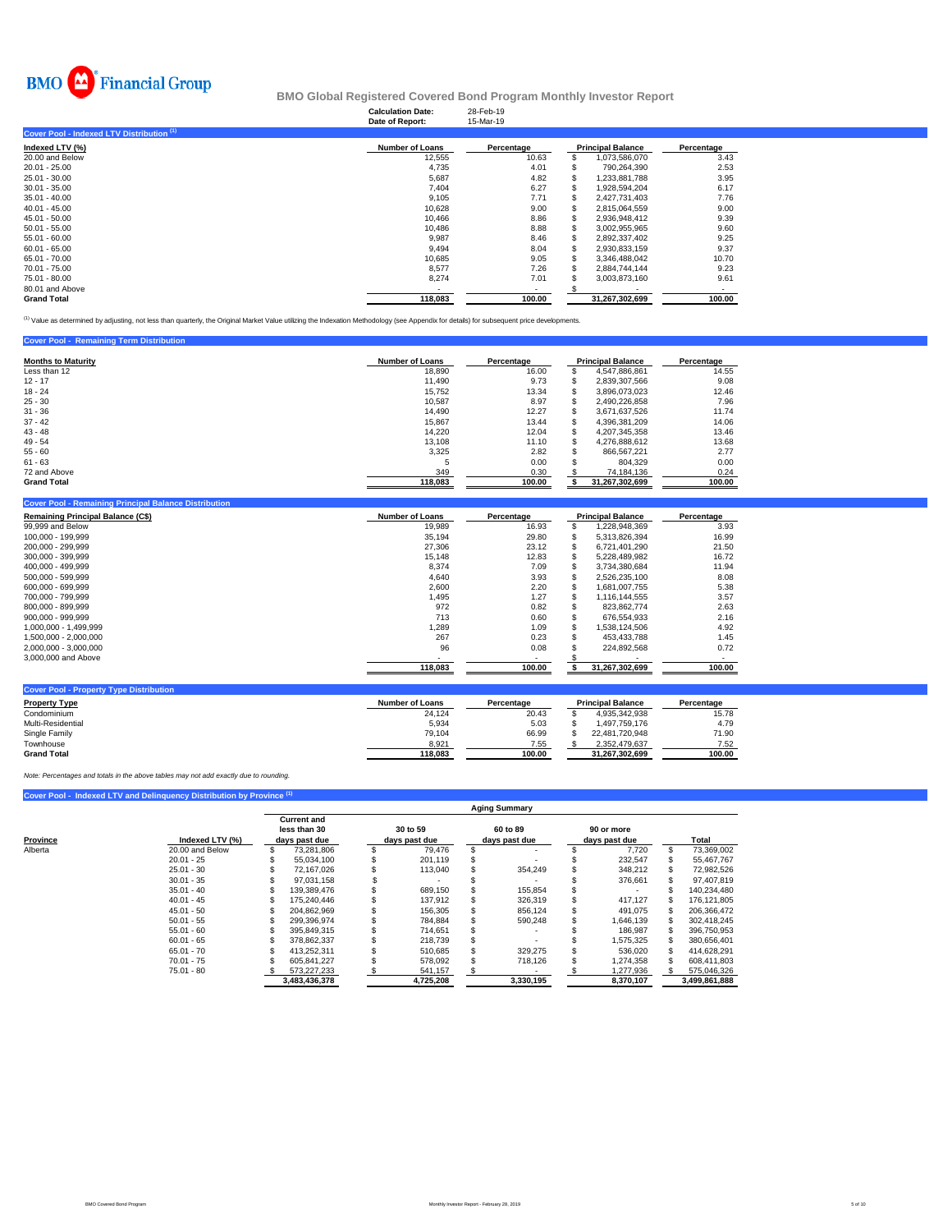

## **Calculation Date:** 28-Feb-19 **BMO Global Registered Covered Bond Program Monthly Investor Report**

| <b>Number of Loans</b> | Percentage |                | Percentage                                               |
|------------------------|------------|----------------|----------------------------------------------------------|
| 12,555                 | 10.63      | 1,073,586,070  | 3.43                                                     |
| 4.735                  | 4.01       | 790.264.390    | 2.53                                                     |
| 5,687                  | 4.82       | 1,233,881,788  | 3.95                                                     |
| 7.404                  | 6.27       | 1.928.594.204  | 6.17                                                     |
| 9,105                  | 7.71       | 2,427,731,403  | 7.76                                                     |
| 10.628                 | 9.00       | 2.815.064.559  | 9.00                                                     |
| 10.466                 | 8.86       | 2,936,948,412  | 9.39                                                     |
| 10,486                 | 8.88       | 3,002,955,965  | 9.60                                                     |
| 9,987                  | 8.46       | 2,892,337,402  | 9.25                                                     |
| 9,494                  | 8.04       | 2,930,833,159  | 9.37                                                     |
| 10.685                 | 9.05       | 3,346,488,042  | 10.70                                                    |
| 8.577                  | 7.26       | 2.884.744.144  | 9.23                                                     |
| 8,274                  | 7.01       | 3,003,873,160  | 9.61                                                     |
|                        |            |                |                                                          |
| 118.083                | 100.00     | 31.267.302.699 | 100.00                                                   |
|                        |            |                | Date of Report:<br>15-Mar-19<br><b>Principal Balance</b> |

(1) Value as determined by adjusting, not less than quarterly, the Original Market Value utilizing the Indexation Methodology (see Appendix for details) for subsequent price developments.

|  | <b>Cover Pool - Remaining Term Distribution</b> |
|--|-------------------------------------------------|
|  |                                                 |

| <b>Months to Maturity</b> | <b>Number of Loans</b> | Percentage |   | <b>Principal Balance</b> | Percentage |
|---------------------------|------------------------|------------|---|--------------------------|------------|
| Less than 12              | 18,890                 | 16.00      | æ | 4.547.886.861            | 14.55      |
| $12 - 17$                 | 11.490                 | 9.73       |   | 2,839,307,566            | 9.08       |
| $18 - 24$                 | 15.752                 | 13.34      | S | 3.896.073.023            | 12.46      |
| $25 - 30$                 | 10,587                 | 8.97       |   | 2.490.226.858            | 7.96       |
| $31 - 36$                 | 14.490                 | 12.27      | æ | 3.671.637.526            | 11.74      |
| $37 - 42$                 | 15,867                 | 13.44      | ъ | 4,396,381,209            | 14.06      |
| $43 - 48$                 | 14.220                 | 12.04      |   | 4.207.345.358            | 13.46      |
| $49 - 54$                 | 13.108                 | 11.10      | S | 4.276.888.612            | 13.68      |
| $55 - 60$                 | 3,325                  | 2.82       | S | 866.567.221              | 2.77       |
| $61 - 63$                 | Ð                      | 0.00       | S | 804.329                  | 0.00       |
| 72 and Above              | 349                    | 0.30       |   | 74,184,136               | 0.24       |
| <b>Grand Total</b>        | 118,083                | 100.00     |   | 31,267,302,699           | 100.00     |

| Cover Pool - Remaining Principal Balance Distribution |                        |            |     |                          |            |
|-------------------------------------------------------|------------------------|------------|-----|--------------------------|------------|
| <b>Remaining Principal Balance (C\$)</b>              | <b>Number of Loans</b> | Percentage |     | <b>Principal Balance</b> | Percentage |
| 99,999 and Below                                      | 19,989                 | 16.93      | S   | 1,228,948,369            | 3.93       |
| 100.000 - 199.999                                     | 35.194                 | 29.80      | \$. | 5.313.826.394            | 16.99      |
| 200.000 - 299.999                                     | 27.306                 | 23.12      | S   | 6.721.401.290            | 21.50      |
| 300.000 - 399.999                                     | 15,148                 | 12.83      | S   | 5.228.489.982            | 16.72      |
| 400.000 - 499.999                                     | 8,374                  | 7.09       | s.  | 3,734,380,684            | 11.94      |
| 500.000 - 599.999                                     | 4.640                  | 3.93       | S   | 2.526.235.100            | 8.08       |
| 600.000 - 699.999                                     | 2,600                  | 2.20       | S   | 1.681.007.755            | 5.38       |
| 700.000 - 799.999                                     | 1,495                  | 1.27       | \$. | 1.116.144.555            | 3.57       |
| 800.000 - 899.999                                     | 972                    | 0.82       | S   | 823.862.774              | 2.63       |
| $900.000 - 999.999$                                   | 713                    | 0.60       |     | 676.554.933              | 2.16       |
| 1.000.000 - 1.499.999                                 | 1.289                  | 1.09       | S   | .538.124.506             | 4.92       |
| 1.500.000 - 2.000.000                                 | 267                    | 0.23       | S   | 453.433.788              | 1.45       |
| 2.000.000 - 3.000.000                                 | 96                     | 0.08       |     | 224.892.568              | 0.72       |
| 3,000,000 and Above                                   |                        |            |     |                          |            |
|                                                       | 118,083                | 100.00     |     | 31,267,302,699           | 100.00     |
|                                                       |                        |            |     |                          |            |

| <b>Cover Pool - Property Type Distribution</b> |                 |            |                          |            |
|------------------------------------------------|-----------------|------------|--------------------------|------------|
| <b>Property Type</b>                           | Number of Loans | Percentage | <b>Principal Balance</b> | Percentage |
| Condominium                                    | 24.124          | 20.43      | 4.935.342.938            | 15.78      |
| Multi-Residential                              | 5,934           | 5.03       | 1.497.759.176            | 4.79       |
| Single Family                                  | 79.104          | 66.99      | 22.481.720.948           | 71.90      |
| Townhouse                                      | 8.921           | 7.55       | 2.352.479.637            | 7.52       |
| <b>Grand Total</b>                             | 118.083         | 100.00     | 31.267.302.699           | 100.00     |

*Note: Percentages and totals in the above tables may not add exactly due to rounding.*

|          | Cover Pool - Indexed LTV and Delinquency Distribution by Province <sup>(1)</sup> |                                                     |                           |                           |                             |               |
|----------|----------------------------------------------------------------------------------|-----------------------------------------------------|---------------------------|---------------------------|-----------------------------|---------------|
|          |                                                                                  |                                                     |                           | <b>Aging Summary</b>      |                             |               |
| Province | Indexed LTV (%)                                                                  | <b>Current and</b><br>less than 30<br>days past due | 30 to 59<br>days past due | 60 to 89<br>days past due | 90 or more<br>days past due | Total         |
| Alberta  | 20.00 and Below                                                                  | 73.281.806                                          | 79.476                    |                           | 7.720                       | 73,369,002    |
|          | $20.01 - 25$                                                                     | 55.034.100                                          | 201.119                   |                           | 232.547                     | 55.467.767    |
|          | $25.01 - 30$                                                                     | 72.167.026                                          | 113,040                   | 354.249                   | 348,212                     | 72,982,526    |
|          | $30.01 - 35$                                                                     | 97.031.158                                          |                           |                           | 376,661                     | 97,407,819    |
|          | $35.01 - 40$                                                                     | 139.389.476                                         | 689.150                   | 155.854                   |                             | 140,234,480   |
|          | $40.01 - 45$                                                                     | 175.240.446                                         | 137.912                   | 326,319                   | 417.127                     | 176.121.805   |
|          | $45.01 - 50$                                                                     | 204.862.969                                         | 156,305                   | 856,124                   | 491,075                     | 206,366,472   |
|          | $50.01 - 55$                                                                     | 299.396.974                                         | 784.884                   | 590.248                   | 1.646.139                   | 302.418.245   |
|          | $55.01 - 60$                                                                     | 395.849.315                                         | 714.651                   |                           | 186,987                     | 396,750,953   |
|          | $60.01 - 65$                                                                     | 378.862.337                                         | 218,739                   |                           | 1.575.325                   | 380,656,401   |
|          | $65.01 - 70$                                                                     | 413.252.311                                         | 510.685                   | 329.275                   | 536.020                     | 414.628.291   |
|          | $70.01 - 75$                                                                     | 605.841.227                                         | 578.092                   | 718.126                   | 1,274,358                   | 608.411.803   |
|          | $75.01 - 80$                                                                     | 573.227.233                                         | 541,157                   |                           | ,277,936                    | 575,046,326   |
|          |                                                                                  | 3,483,436,378                                       | 4,725,208                 | 3,330,195                 | 8,370,107                   | 3,499,861,888 |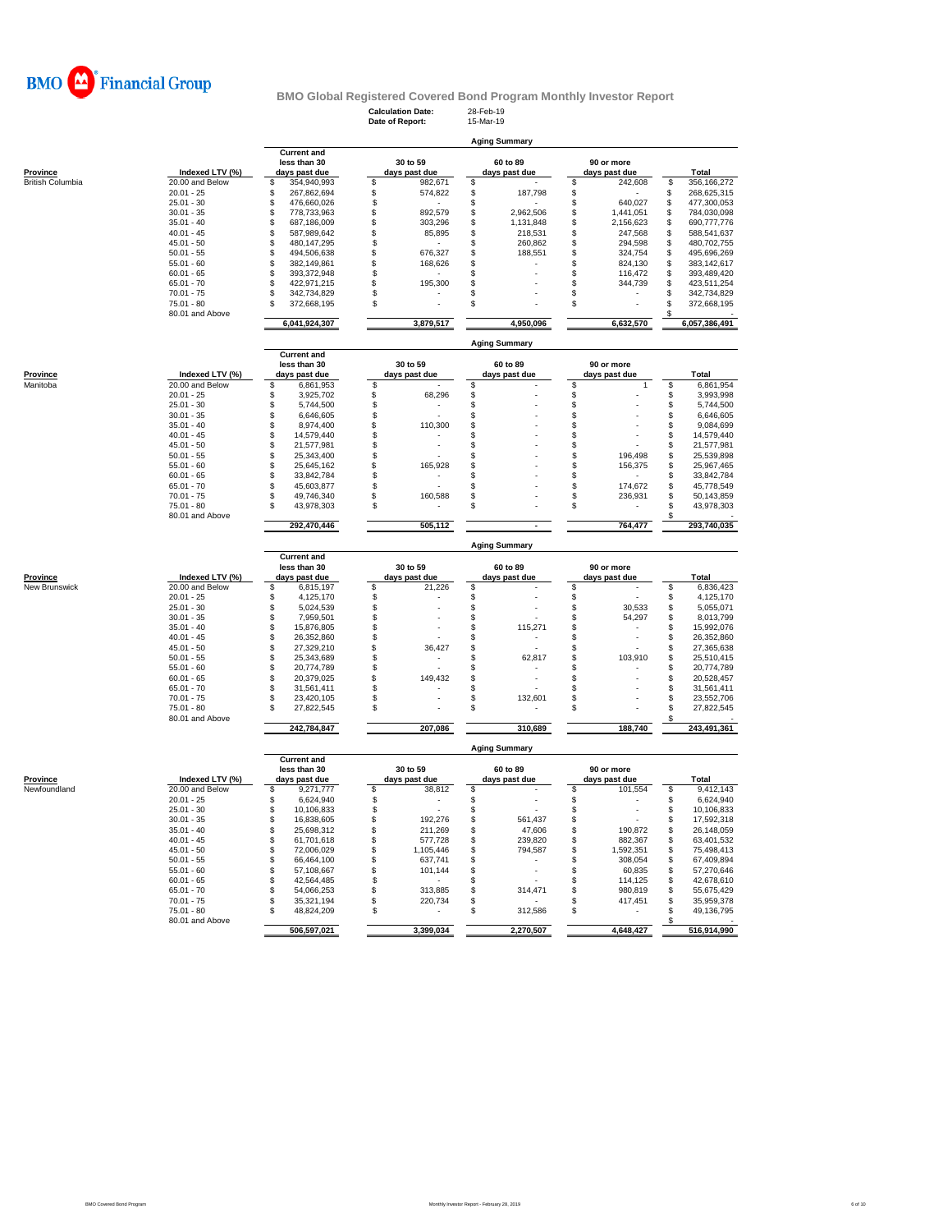

| <b>Province</b>         |  |
|-------------------------|--|
| <b>British Columbia</b> |  |
|                         |  |
|                         |  |

|                                     |                 |                    |   | <b>Calculation Date:</b><br>Date of Report: | 28-Feb-19<br>15-Mar-19 |                      |               |   |               |
|-------------------------------------|-----------------|--------------------|---|---------------------------------------------|------------------------|----------------------|---------------|---|---------------|
|                                     |                 |                    |   |                                             |                        | <b>Aging Summary</b> |               |   |               |
|                                     |                 | <b>Current and</b> |   |                                             |                        |                      |               |   |               |
| <b>Province</b><br>British Columbia |                 | less than 30       |   | 30 to 59                                    |                        | 60 to 89             | 90 or more    |   |               |
|                                     | Indexed LTV (%) | days past due      |   | days past due                               |                        | days past due        | days past due |   | Total         |
|                                     | 20.00 and Below | 354,940,993        |   | 982,671                                     |                        |                      | 242,608       | S | 356,166,272   |
|                                     | $20.01 - 25$    | 267,862,694        |   | 574,822                                     |                        | 187,798              |               |   | 268,625,315   |
|                                     | $25.01 - 30$    | 476,660,026        |   |                                             |                        |                      | 640,027       |   | 477,300,053   |
|                                     | $30.01 - 35$    | 778.733.963        |   | 892,579                                     |                        | 2,962,506            | 1,441,051     |   | 784,030,098   |
|                                     | $35.01 - 40$    | 687,186,009        |   | 303,296                                     |                        | 1,131,848            | 2,156,623     |   | 690,777,776   |
|                                     | $40.01 - 45$    | 587,989,642        |   | 85,895                                      |                        | 218,531              | 247,568       |   | 588,541,637   |
|                                     | $45.01 - 50$    | 480.147.295        |   |                                             |                        | 260,862              | 294,598       |   | 480,702,755   |
|                                     | $50.01 - 55$    | 494,506,638        |   | 676,327                                     |                        | 188,551              | 324,754       |   | 495,696,269   |
|                                     | $55.01 - 60$    | 382,149,861        |   | 168,626                                     |                        |                      | 824,130       |   | 383,142,617   |
|                                     | $60.01 - 65$    | 393.372.948        |   |                                             |                        |                      | 116.472       |   | 393,489,420   |
|                                     | $65.01 - 70$    | 422.971.215        |   | 195,300                                     |                        |                      | 344,739       |   | 423,511,254   |
|                                     | $70.01 - 75$    | 342,734,829        |   |                                             |                        | ۰                    |               |   | 342,734,829   |
|                                     | $75.01 - 80$    | 372.668.195        | S |                                             |                        |                      |               |   | 372,668,195   |
|                                     | 80.01 and Above |                    |   |                                             |                        |                      |               |   |               |
|                                     |                 | 6,041,924,307      |   | 3,879,517                                   |                        | 4,950,096            | 6,632,570     |   | 6,057,386,491 |
|                                     |                 |                    |   |                                             |                        |                      |               |   |               |

|                      |                 | <b>Aging Summary</b> |                                                     |                           |         |  |                           |  |                             |  |             |  |  |  |
|----------------------|-----------------|----------------------|-----------------------------------------------------|---------------------------|---------|--|---------------------------|--|-----------------------------|--|-------------|--|--|--|
| Province<br>Manitoba | Indexed LTV (%) |                      | <b>Current and</b><br>less than 30<br>days past due | 30 to 59<br>days past due |         |  | 60 to 89<br>days past due |  | 90 or more<br>days past due |  | Total       |  |  |  |
|                      | 20.00 and Below |                      | 6,861,953                                           |                           |         |  |                           |  |                             |  | 6,861,954   |  |  |  |
|                      | $20.01 - 25$    |                      | 3,925,702                                           |                           | 68,296  |  |                           |  |                             |  | 3,993,998   |  |  |  |
|                      | $25.01 - 30$    |                      | 5,744,500                                           |                           |         |  |                           |  |                             |  | 5,744,500   |  |  |  |
|                      | $30.01 - 35$    |                      | 6,646,605                                           |                           |         |  |                           |  |                             |  | 6,646,605   |  |  |  |
|                      | $35.01 - 40$    |                      | 8,974,400                                           |                           | 110,300 |  |                           |  |                             |  | 9,084,699   |  |  |  |
|                      | $40.01 - 45$    |                      | 14.579.440                                          |                           |         |  |                           |  | ٠                           |  | 14.579.440  |  |  |  |
|                      | $45.01 - 50$    |                      | 21.577.981                                          |                           |         |  |                           |  |                             |  | 21,577,981  |  |  |  |
|                      | $50.01 - 55$    |                      | 25.343.400                                          |                           |         |  |                           |  | 196.498                     |  | 25,539,898  |  |  |  |
|                      | $55.01 - 60$    |                      | 25,645,162                                          |                           | 165,928 |  | $\overline{\phantom{a}}$  |  | 156,375                     |  | 25,967,465  |  |  |  |
|                      | $60.01 - 65$    |                      | 33.842.784                                          |                           |         |  | $\overline{\phantom{a}}$  |  |                             |  | 33.842.784  |  |  |  |
|                      | $65.01 - 70$    |                      | 45,603,877                                          |                           |         |  |                           |  | 174.672                     |  | 45,778,549  |  |  |  |
|                      | $70.01 - 75$    |                      | 49.746.340                                          |                           | 160,588 |  |                           |  | 236,931                     |  | 50,143,859  |  |  |  |
|                      | $75.01 - 80$    |                      | 43.978.303                                          | S                         |         |  |                           |  | ٠                           |  | 43,978,303  |  |  |  |
|                      | 80.01 and Above |                      |                                                     |                           |         |  |                           |  |                             |  |             |  |  |  |
|                      |                 |                      | 292,470,446                                         |                           | 505,112 |  |                           |  | 764,477                     |  | 293,740,035 |  |  |  |

|                           |                 | <b>Aging Summary</b> |                                                     |                           |         |  |                           |  |                             |  |             |  |  |
|---------------------------|-----------------|----------------------|-----------------------------------------------------|---------------------------|---------|--|---------------------------|--|-----------------------------|--|-------------|--|--|
| Province<br>New Brunswick | Indexed LTV (%) |                      | <b>Current and</b><br>less than 30<br>days past due | 30 to 59<br>days past due |         |  | 60 to 89<br>days past due |  | 90 or more<br>days past due |  | Total       |  |  |
|                           | 20.00 and Below |                      | 6,815,197                                           |                           | 21,226  |  |                           |  |                             |  | 6,836,423   |  |  |
|                           | $20.01 - 25$    |                      | 4.125.170                                           |                           |         |  |                           |  |                             |  | 4,125,170   |  |  |
|                           | $25.01 - 30$    |                      | 5,024,539                                           |                           |         |  |                           |  | 30.533                      |  | 5,055,071   |  |  |
|                           | $30.01 - 35$    |                      | 7.959.501                                           |                           |         |  |                           |  | 54,297                      |  | 8,013,799   |  |  |
|                           | $35.01 - 40$    |                      | 15,876,805                                          |                           |         |  | 115,271                   |  |                             |  | 15,992,076  |  |  |
|                           | $40.01 - 45$    |                      | 26,352,860                                          |                           |         |  |                           |  |                             |  | 26,352,860  |  |  |
|                           | $45.01 - 50$    |                      | 27.329.210                                          |                           | 36,427  |  |                           |  |                             |  | 27,365,638  |  |  |
|                           | $50.01 - 55$    |                      | 25.343.689                                          |                           |         |  | 62,817                    |  | 103.910                     |  | 25,510,415  |  |  |
|                           | $55.01 - 60$    |                      | 20.774.789                                          |                           |         |  |                           |  | ٠                           |  | 20,774,789  |  |  |
|                           | $60.01 - 65$    |                      | 20.379.025                                          |                           | 149.432 |  |                           |  | ۰                           |  | 20,528,457  |  |  |
|                           | $65.01 - 70$    |                      | 31.561.411                                          |                           |         |  |                           |  | ٠                           |  | 31,561,411  |  |  |
|                           | $70.01 - 75$    |                      | 23,420,105                                          |                           |         |  | 132,601                   |  | ۰                           |  | 23,552,706  |  |  |
|                           | $75.01 - 80$    |                      | 27,822,545                                          |                           | ۰       |  |                           |  | ٠                           |  | 27,822,545  |  |  |
|                           | 80.01 and Above |                      |                                                     |                           |         |  |                           |  |                             |  |             |  |  |
|                           |                 |                      | 242,784,847                                         |                           | 207,086 |  | 310,689                   |  | 188,740                     |  | 243,491,361 |  |  |

| Province     |  |
|--------------|--|
| Newfoundland |  |

| Province     |                 |                                                     |                           |           |     | <b>Aging Summary</b>      |   |                             |   |             |
|--------------|-----------------|-----------------------------------------------------|---------------------------|-----------|-----|---------------------------|---|-----------------------------|---|-------------|
|              | Indexed LTV (%) | <b>Current and</b><br>less than 30<br>days past due | 30 to 59<br>days past due |           |     | 60 to 89<br>days past due |   | 90 or more<br>days past due |   | Total       |
| Newfoundland | 20.00 and Below | 9.271.777                                           |                           | 38,812    | \$. |                           |   | 101,554                     |   | 9,412,143   |
|              | $20.01 - 25$    | 6.624.940                                           |                           |           |     |                           |   |                             |   | 6.624.940   |
|              | $25.01 - 30$    | 10.106.833                                          |                           |           |     |                           |   |                             |   | 10,106,833  |
|              | $30.01 - 35$    | 16.838.605                                          |                           | 192,276   |     | 561,437                   |   |                             |   | 17,592,318  |
|              | $35.01 - 40$    | 25.698.312                                          |                           | 211,269   |     | 47,606                    |   | 190,872                     |   | 26,148,059  |
|              | $40.01 - 45$    | 61.701.618                                          |                           | 577.728   |     | 239,820                   |   | 882.367                     |   | 63.401.532  |
|              | $45.01 - 50$    | 72.006.029                                          |                           | 1,105,446 |     | 794,587                   |   | 1,592,351                   |   | 75.498.413  |
|              | $50.01 - 55$    | 66.464.100                                          |                           | 637,741   |     |                           |   | 308,054                     | S | 67,409,894  |
|              | $55.01 - 60$    | 57.108.667                                          |                           | 101.144   |     |                           |   | 60,835                      |   | 57.270.646  |
|              | $60.01 - 65$    | 42.564.485                                          |                           |           |     |                           |   | 114.125                     |   | 42.678.610  |
|              | $65.01 - 70$    | 54.066.253                                          |                           | 313,885   |     | 314,471                   |   | 980,819                     |   | 55,675,429  |
|              | $70.01 - 75$    | 35.321.194                                          |                           | 220.734   |     |                           |   | 417.451                     |   | 35.959.378  |
|              | $75.01 - 80$    | 48,824,209                                          |                           |           |     | 312.586                   | S |                             |   | 49,136,795  |
|              | 80.01 and Above |                                                     |                           |           |     |                           |   |                             |   |             |
|              |                 | 506.597.021                                         |                           | 3,399,034 |     | 2,270,507                 |   | 4,648,427                   |   | 516,914,990 |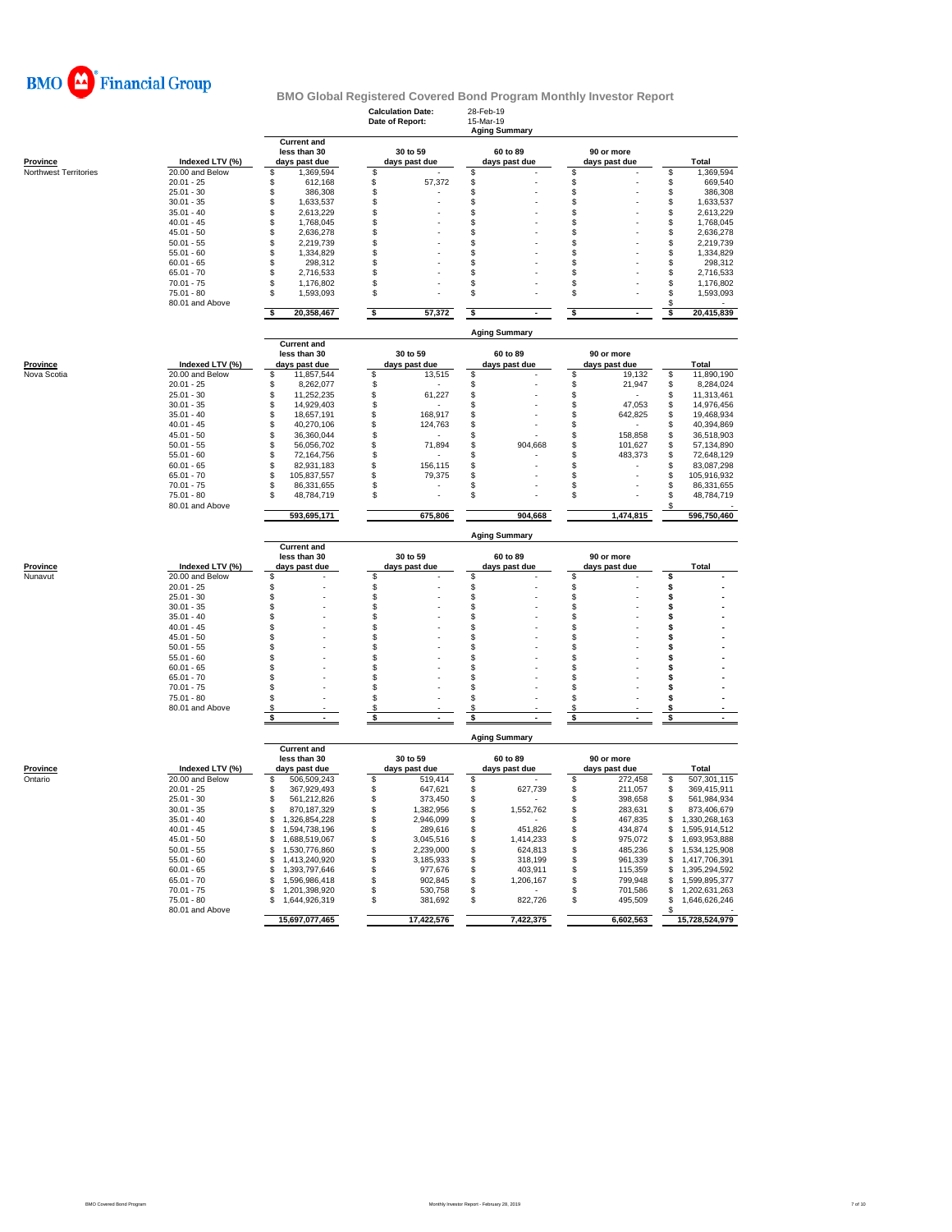

## **BMO Global Registered Covered Bond Program Monthly Investor Report** 28-Feb-19<br>15-Mar-19<br>**Aging Sum**

**Calculation Date:** 28-Feb-19 **Date of Report:** 15-Mar-19

|                       |                               | Aging Summary                                       |         |                           |                      |                           |         |                             |             |                |  |  |  |
|-----------------------|-------------------------------|-----------------------------------------------------|---------|---------------------------|----------------------|---------------------------|---------|-----------------------------|-------------|----------------|--|--|--|
| Province              | Indexed LTV (%)               | <b>Current and</b><br>less than 30<br>days past due |         | 30 to 59<br>days past due |                      | 60 to 89<br>days past due |         | 90 or more<br>days past due |             | Total          |  |  |  |
| Northwest Territories | 20.00 and Below               | \$<br>1,369,594                                     | \$      |                           | \$                   |                           | \$      |                             | \$          | 1,369,594      |  |  |  |
|                       | $20.01 - 25$                  | \$<br>612,168                                       | \$      | 57,372                    | \$                   |                           | \$      |                             | \$          | 669,540        |  |  |  |
|                       | $25.01 - 30$                  | \$<br>386,308                                       | \$      |                           | S                    |                           | \$      |                             | \$          | 386,308        |  |  |  |
|                       | $30.01 - 35$                  | \$<br>1,633,537                                     | \$      |                           | \$                   |                           | \$      |                             | \$          | 1,633,537      |  |  |  |
|                       | $35.01 - 40$                  | \$<br>2,613,229                                     | \$      |                           | \$                   |                           | \$      |                             | \$          | 2,613,229      |  |  |  |
|                       | $40.01 - 45$                  | \$<br>1,768,045                                     | \$      |                           | \$                   |                           | S       |                             | \$          | 1,768,045      |  |  |  |
|                       | $45.01 - 50$                  | \$<br>2,636,278                                     | \$      |                           | \$                   |                           | \$      |                             | \$          | 2,636,278      |  |  |  |
|                       | $50.01 - 55$                  | \$<br>2,219,739                                     | \$      |                           | S                    |                           | S       |                             | \$          | 2,219,739      |  |  |  |
|                       | $55.01 - 60$                  | \$<br>1,334,829                                     | \$      |                           | \$                   |                           | \$      |                             | \$          | 1,334,829      |  |  |  |
|                       | $60.01 - 65$                  | \$<br>298,312                                       | \$      |                           | S                    |                           | S       |                             | \$          | 298,312        |  |  |  |
|                       | $65.01 - 70$                  | \$<br>2,716,533                                     | \$      |                           | \$                   |                           | S       |                             | \$          | 2,716,533      |  |  |  |
|                       | $70.01 - 75$                  | \$<br>1,176,802                                     | \$      |                           | \$                   |                           | \$      |                             | \$          | 1,176,802      |  |  |  |
|                       |                               |                                                     | \$      |                           | \$                   |                           |         |                             |             |                |  |  |  |
|                       | 75.01 - 80<br>80.01 and Above | \$<br>1,593,093                                     |         |                           |                      |                           | \$      |                             | \$<br>£.    | 1,593,093      |  |  |  |
|                       |                               | \$<br>20,358,467                                    | \$      | 57,372                    | \$                   |                           | \$      |                             | \$          | 20,415,839     |  |  |  |
|                       |                               |                                                     |         |                           | <b>Aging Summary</b> |                           |         |                             |             |                |  |  |  |
|                       |                               | <b>Current and</b>                                  |         |                           |                      |                           |         |                             |             |                |  |  |  |
|                       |                               | less than 30                                        |         | 30 to 59                  |                      | 60 to 89                  |         | 90 or more                  |             |                |  |  |  |
| <b>Province</b>       | Indexed LTV (%)               | days past due                                       |         | days past due             |                      | days past due             |         | days past due               |             | Total          |  |  |  |
| Nova Scotia           | 20.00 and Below               | \$<br>11,857,544                                    | \$      | 13,515                    | S                    |                           | \$      | 19,132                      | \$          | 11,890,190     |  |  |  |
|                       | $20.01 - 25$                  | 8,262,077<br>\$                                     | \$      |                           | \$                   |                           | \$      | 21,947                      | \$          | 8,284,024      |  |  |  |
|                       | $25.01 - 30$                  | 11,252,235<br>\$                                    | \$      | 61,227                    | \$                   |                           | \$      |                             | \$          | 11,313,461     |  |  |  |
|                       | $30.01 - 35$                  | \$<br>14,929,403                                    | \$      |                           | S                    |                           | \$      | 47,053                      | \$          | 14,976,456     |  |  |  |
|                       | $35.01 - 40$                  | \$<br>18,657,191                                    | \$      | 168,917                   | S                    |                           | \$      | 642,825                     | \$          | 19,468,934     |  |  |  |
|                       | $40.01 - 45$                  | \$<br>40,270,106                                    | \$      | 124,763                   | S                    |                           | \$      |                             | \$          | 40,394,869     |  |  |  |
|                       | $45.01 - 50$                  | \$<br>36,360,044                                    | \$      |                           | S                    |                           | \$      | 158,858                     | \$          | 36,518,903     |  |  |  |
|                       | $50.01 - 55$                  | \$<br>56,056,702                                    | \$      | 71,894                    | \$                   | 904,668                   | \$      | 101,627                     | $\ddot{\$}$ | 57,134,890     |  |  |  |
|                       | $55.01 - 60$                  | \$<br>72,164,756                                    | \$      |                           | \$                   |                           | \$      | 483,373                     | \$          | 72,648,129     |  |  |  |
|                       | $60.01 - 65$                  | \$<br>82,931,183                                    | \$      | 156,115                   | \$                   |                           | \$      |                             | \$          | 83,087,298     |  |  |  |
|                       |                               | \$                                                  | \$      |                           |                      |                           | S       |                             |             |                |  |  |  |
|                       | $65.01 - 70$                  | 105,837,557                                         |         | 79,375                    | \$                   |                           |         |                             | \$          | 105,916,932    |  |  |  |
|                       | $70.01 - 75$                  | \$<br>86,331,655                                    | \$      |                           | S                    |                           | S       |                             | \$          | 86,331,655     |  |  |  |
|                       | $75.01 - 80$                  | \$<br>48,784,719                                    | \$      |                           | Ŝ                    |                           | \$      |                             | \$          | 48,784,719     |  |  |  |
|                       | 80.01 and Above               | 593,695,171                                         |         | 675,806                   |                      | 904,668                   |         | 1,474,815                   | S           | 596,750,460    |  |  |  |
|                       |                               |                                                     |         |                           |                      |                           |         |                             |             |                |  |  |  |
|                       |                               | <b>Current and</b>                                  |         |                           | <b>Aging Summary</b> |                           |         |                             |             |                |  |  |  |
|                       |                               |                                                     |         |                           |                      |                           |         |                             |             |                |  |  |  |
|                       |                               |                                                     |         |                           |                      |                           |         |                             |             |                |  |  |  |
|                       |                               | less than 30                                        |         | 30 to 59                  |                      | 60 to 89                  |         | 90 or more                  |             |                |  |  |  |
|                       | Indexed LTV (%)               | days past due                                       |         | days past due             |                      | days past due             |         | days past due               |             | <b>Total</b>   |  |  |  |
|                       | 20.00 and Below               | \$                                                  | S       |                           | \$                   |                           | \$      |                             | S           |                |  |  |  |
|                       | $20.01 - 25$                  | \$                                                  | \$      |                           | \$                   |                           | \$      |                             | \$          |                |  |  |  |
|                       | $25.01 - 30$                  | \$                                                  | \$      |                           | \$                   |                           | \$      |                             | \$          |                |  |  |  |
|                       | $30.01 - 35$                  | \$                                                  | \$      |                           | \$                   |                           | \$      |                             | \$          |                |  |  |  |
|                       | $35.01 - 40$                  | \$                                                  | \$      |                           | \$                   |                           | \$      |                             | \$          |                |  |  |  |
| Province<br>Nunavut   | $40.01 - 45$                  | \$                                                  | \$      |                           | S                    |                           | \$      |                             | \$          |                |  |  |  |
|                       | $45.01 - 50$                  | \$                                                  | \$      |                           | S                    |                           | S       |                             | \$          |                |  |  |  |
|                       | $50.01 - 55$                  | \$                                                  | \$      |                           | S                    |                           | S       |                             | \$          |                |  |  |  |
|                       | $55.01 - 60$                  | \$                                                  | \$      |                           | \$                   |                           | S       |                             | \$          |                |  |  |  |
|                       | $60.01 - 65$                  | \$                                                  | \$      |                           | S                    |                           | S       |                             | \$          |                |  |  |  |
|                       | $65.01 - 70$                  | \$                                                  | \$      |                           | \$                   |                           | Ŝ       |                             | \$          |                |  |  |  |
|                       |                               |                                                     |         |                           | \$                   |                           | S       |                             | Ś           |                |  |  |  |
|                       | $70.01 - 75$<br>$75.01 - 80$  | \$                                                  | \$      |                           | S                    |                           | S       |                             | \$          |                |  |  |  |
|                       |                               | \$                                                  | \$      |                           | \$.                  |                           |         |                             |             |                |  |  |  |
|                       | 80.01 and Above               | S<br>S.                                             | \$<br>S |                           | s                    |                           | S<br>S. |                             | s<br>\$     |                |  |  |  |
|                       |                               |                                                     |         |                           |                      |                           |         |                             |             |                |  |  |  |
|                       |                               |                                                     |         |                           | <b>Aging Summary</b> |                           |         |                             |             |                |  |  |  |
|                       |                               | <b>Current and</b>                                  |         |                           |                      |                           |         |                             |             |                |  |  |  |
|                       |                               | less than 30                                        |         | 30 to 59                  |                      | 60 to 89                  |         | 90 or more                  |             |                |  |  |  |
| Province              | Indexed LTV (%)               | days past due                                       |         | days past due             |                      | days past due             |         | days past due               |             | <b>Total</b>   |  |  |  |
| Ontario               | 20.00 and Below               | £.<br>506,509,243                                   | \$      | 519,414                   | \$                   |                           | \$      | 272,458                     | \$          | 507,301,115    |  |  |  |
|                       | $20.01 - 25$                  | 367,929,493<br>S                                    | \$      | 647,621                   | \$                   | 627,739                   | \$      | 211,057                     | \$          | 369,415,911    |  |  |  |
|                       | $25.01 - 30$                  | 561,212,826<br>\$                                   | \$      | 373,450                   | \$                   |                           | \$      | 398,658                     | \$          | 561,984,934    |  |  |  |
|                       | $30.01 - 35$                  | S<br>870, 187, 329                                  | \$      | 1,382,956                 | \$                   | 1,552,762                 | \$      | 283,631                     | \$          | 873,406,679    |  |  |  |
|                       | $35.01 - 40$                  | \$<br>1,326,854,228                                 | \$      | 2,946,099                 | \$                   |                           | S       | 467,835                     | \$.         | 1,330,268,163  |  |  |  |
|                       | $40.01 - 45$                  | \$<br>1,594,738,196                                 | \$      | 289,616                   | \$                   | 451,826                   | \$      | 434,874                     | \$          | 1,595,914,512  |  |  |  |
|                       | $45.01 - 50$                  | \$<br>1,688,519,067                                 | \$      | 3,045,516                 | \$                   | 1,414,233                 | \$      | 975,072                     | \$          | 1,693,953,888  |  |  |  |
|                       | $50.01 - 55$                  | S<br>1,530,776,860                                  | \$      | 2,239,000                 | \$                   | 624,813                   | \$      | 485,236                     | \$          | 1,534,125,908  |  |  |  |
|                       | $55.01 - 60$                  | 1,413,240,920<br>S                                  |         |                           | \$                   | 318,199                   | \$      | 961,339                     | \$          |                |  |  |  |
|                       |                               | \$                                                  | \$      | 3,185,933                 | \$                   |                           |         |                             |             | 1,417,706,391  |  |  |  |
|                       | $60.01 - 65$                  | 1,393,797,646                                       | \$      | 977,676                   |                      | 403,911                   | \$      | 115,359                     | \$          | 1,395,294,592  |  |  |  |
|                       | $65.01 - 70$                  | \$<br>1,596,986,418                                 | \$      | 902,845                   | \$                   | 1,206,167                 | \$      | 799,948                     | \$          | 1,599,895,377  |  |  |  |
|                       | $70.01 - 75$                  | \$<br>1,201,398,920                                 | \$      | 530,758                   | \$                   |                           | \$      | 701,586                     | \$          | 1,202,631,263  |  |  |  |
|                       | $75.01 - 80$                  | \$<br>1,644,926,319                                 | \$      | 381,692                   | \$                   | 822,726                   | \$      | 495,509                     | \$<br>S     | 1,646,626,246  |  |  |  |
|                       | 80.01 and Above               | 15,697,077,465                                      |         | 17,422,576                |                      | 7,422,375                 |         | 6,602,563                   |             | 15,728,524,979 |  |  |  |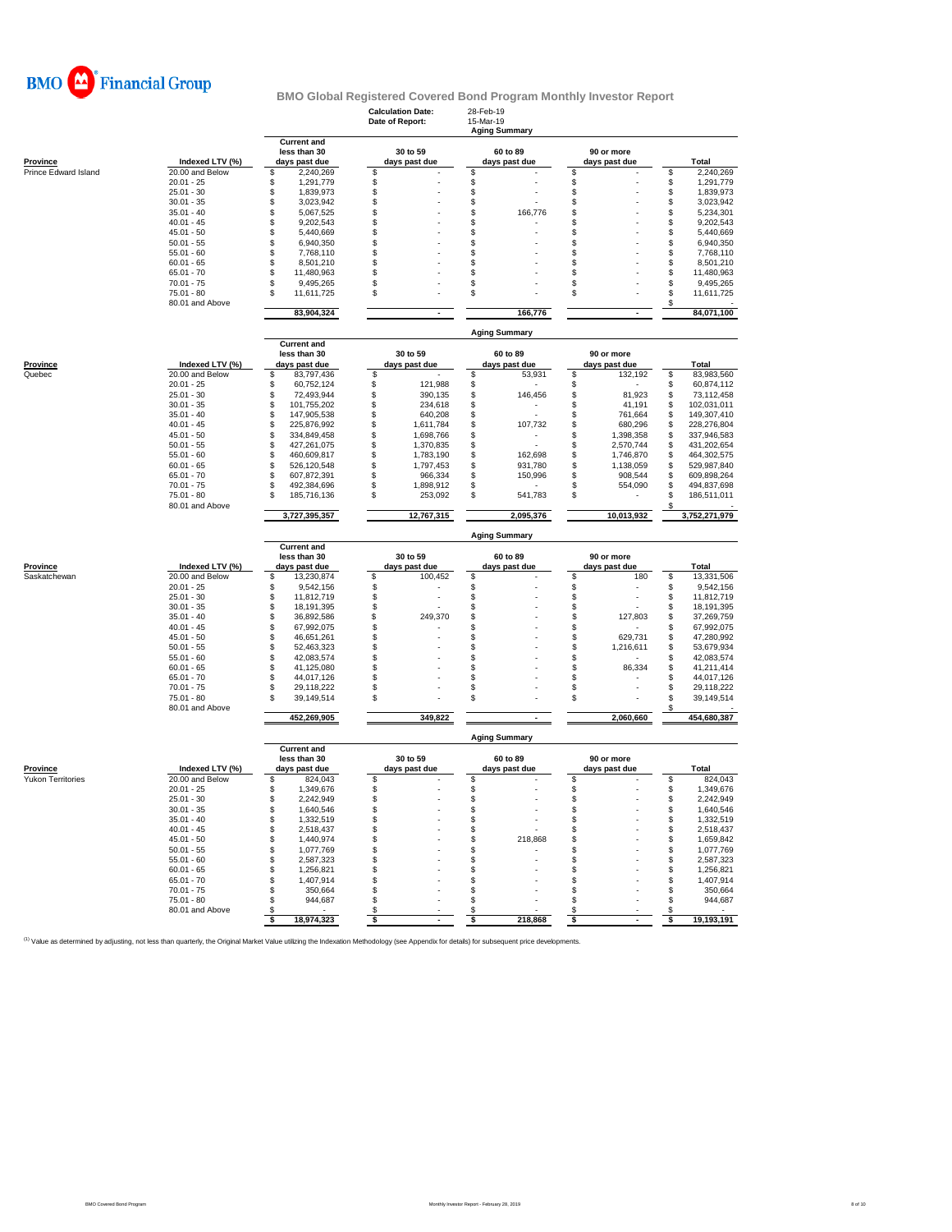

|                          |                                 |                                                     | 28-Feb-19<br><b>Calculation Date:</b><br>Date of Report:<br>15-Mar-19<br><b>Aging Summary</b> |                                |                             |                                        |  |  |  |  |  |
|--------------------------|---------------------------------|-----------------------------------------------------|-----------------------------------------------------------------------------------------------|--------------------------------|-----------------------------|----------------------------------------|--|--|--|--|--|
| <b>Province</b>          | Indexed LTV (%)                 | <b>Current and</b><br>less than 30<br>days past due | 30 to 59<br>days past due                                                                     | 60 to 89<br>days past due      | 90 or more<br>days past due | <b>Total</b>                           |  |  |  |  |  |
| Prince Edward Island     | 20.00 and Below                 | \$<br>2,240,269                                     | \$                                                                                            | \$                             | \$                          | \$<br>2,240,269                        |  |  |  |  |  |
|                          | $20.01 - 25$                    | \$<br>1,291,779                                     | \$                                                                                            | \$                             | \$                          | \$<br>1,291,779                        |  |  |  |  |  |
|                          | $25.01 - 30$                    | \$<br>1,839,973                                     | \$                                                                                            | \$                             | \$                          | \$<br>1,839,973                        |  |  |  |  |  |
|                          | $30.01 - 35$                    | \$<br>3,023,942                                     | \$                                                                                            | \$                             | \$                          | \$<br>3,023,942                        |  |  |  |  |  |
|                          | $35.01 - 40$                    | \$<br>5,067,525                                     | \$                                                                                            | \$<br>166,776                  | \$                          | \$<br>5,234,301                        |  |  |  |  |  |
|                          | $40.01 - 45$                    | \$<br>9,202,543                                     | \$                                                                                            | \$                             | \$                          | \$<br>9,202,543                        |  |  |  |  |  |
|                          | $45.01 - 50$                    | \$<br>5,440,669                                     | \$                                                                                            | \$                             | S                           | \$<br>5,440,669                        |  |  |  |  |  |
|                          | $50.01 - 55$                    | \$<br>6,940,350                                     | \$                                                                                            | \$                             | \$                          | \$<br>6,940,350                        |  |  |  |  |  |
|                          | $55.01 - 60$                    | \$<br>7,768,110                                     | \$                                                                                            | S                              | \$                          | \$<br>7,768,110                        |  |  |  |  |  |
|                          | $60.01 - 65$                    | \$<br>8,501,210                                     | \$                                                                                            | S                              | S                           | \$<br>8,501,210                        |  |  |  |  |  |
|                          | $65.01 - 70$                    | \$<br>11,480,963                                    | \$                                                                                            | \$                             | \$                          | \$<br>11,480,963                       |  |  |  |  |  |
|                          | $70.01 - 75$                    | \$<br>9,495,265                                     | \$                                                                                            | \$                             | \$                          | \$<br>9,495,265                        |  |  |  |  |  |
|                          | $75.01 - 80$<br>80.01 and Above | \$<br>11,611,725                                    | \$                                                                                            | \$                             | \$                          | \$<br>11,611,725<br>\$                 |  |  |  |  |  |
|                          |                                 | 83,904,324                                          | $\blacksquare$                                                                                | 166,776                        | $\blacksquare$              | 84,071,100                             |  |  |  |  |  |
|                          |                                 |                                                     | <b>Aging Summary</b>                                                                          |                                |                             |                                        |  |  |  |  |  |
|                          |                                 | <b>Current and</b>                                  |                                                                                               |                                |                             |                                        |  |  |  |  |  |
|                          |                                 | less than 30                                        | 30 to 59                                                                                      | 60 to 89                       | 90 or more                  |                                        |  |  |  |  |  |
| <b>Province</b>          | Indexed LTV (%)                 | days past due                                       | days past due                                                                                 | days past due                  | days past due               | Total                                  |  |  |  |  |  |
| Quebec                   | 20.00 and Below                 | \$<br>83,797,436                                    | \$                                                                                            | \$<br>53,931                   | \$<br>132,192               | 83,983,560<br>\$                       |  |  |  |  |  |
|                          | $20.01 - 25$                    | \$<br>60,752,124                                    | \$<br>121,988                                                                                 | \$                             | \$                          | \$<br>60,874,112                       |  |  |  |  |  |
|                          | $25.01 - 30$                    | \$<br>72,493,944                                    | \$<br>390,135                                                                                 | \$<br>146,456                  | \$<br>81,923                | \$<br>73,112,458                       |  |  |  |  |  |
|                          | $30.01 - 35$                    | \$<br>101,755,202                                   | \$<br>234,618                                                                                 | \$                             | \$<br>41,191                | \$<br>102,031,011                      |  |  |  |  |  |
|                          | $35.01 - 40$                    | \$<br>147,905,538                                   | \$<br>640,208                                                                                 | \$                             | \$<br>761,664               | \$<br>149,307,410                      |  |  |  |  |  |
|                          | $40.01 - 45$<br>$45.01 - 50$    | \$<br>225,876,992                                   | \$<br>1,611,784                                                                               | \$<br>107,732                  | \$<br>680,296               | \$<br>228,276,804                      |  |  |  |  |  |
|                          |                                 | \$<br>334,849,458                                   | \$<br>1,698,766                                                                               | \$                             | \$<br>1,398,358             | 337,946,583<br>S                       |  |  |  |  |  |
|                          | $50.01 - 55$                    | \$<br>427,261,075                                   | \$<br>1,370,835                                                                               | \$                             | \$<br>2,570,744             | 431,202,654<br>\$                      |  |  |  |  |  |
|                          | $55.01 - 60$                    | \$<br>460,609,817                                   | \$<br>1,783,190                                                                               | \$<br>162,698                  | \$<br>1,746,870             | 464,302,575<br>\$                      |  |  |  |  |  |
|                          | $60.01 - 65$                    | \$<br>526,120,548<br>\$                             | \$<br>1,797,453<br>\$                                                                         | \$<br>931,780                  | \$<br>1,138,059<br>\$       | 529,987,840<br>\$                      |  |  |  |  |  |
|                          | $65.01 - 70$                    | 607,872,391<br>\$<br>492,384,696                    | 966,334<br>\$                                                                                 | \$<br>150,996                  | 908,544                     | \$<br>609,898,264<br>\$<br>494,837,698 |  |  |  |  |  |
|                          | $70.01 - 75$<br>$75.01 - 80$    | \$                                                  | 1,898,912<br>\$<br>253,092                                                                    | \$<br>\$                       | \$<br>554,090<br>\$         | \$<br>186,511,011                      |  |  |  |  |  |
|                          | 80.01 and Above                 | 185,716,136                                         |                                                                                               | 541,783                        |                             | \$                                     |  |  |  |  |  |
|                          |                                 | 3,727,395,357                                       | 12,767,315                                                                                    | 2,095,376                      | 10,013,932                  | 3,752,271,979                          |  |  |  |  |  |
|                          |                                 | <b>Current and</b>                                  |                                                                                               | <b>Aging Summary</b>           |                             |                                        |  |  |  |  |  |
|                          |                                 | less than 30                                        | 30 to 59                                                                                      | 60 to 89                       | 90 or more                  |                                        |  |  |  |  |  |
| <b>Province</b>          | Indexed LTV (%)                 | days past due                                       | days past due                                                                                 | days past due                  | days past due               | <b>Total</b>                           |  |  |  |  |  |
| Saskatchewan             | 20.00 and Below                 | \$<br>13,230,874                                    | \$<br>100,452                                                                                 | \$                             | \$<br>180                   | \$<br>13,331,506                       |  |  |  |  |  |
|                          | $20.01 - 25$                    | \$<br>9,542,156                                     | \$                                                                                            | \$                             | \$                          | \$<br>9,542,156                        |  |  |  |  |  |
|                          | $25.01 - 30$                    | \$<br>11,812,719                                    | \$                                                                                            | \$                             | \$                          | \$<br>11,812,719                       |  |  |  |  |  |
|                          | $30.01 - 35$                    | \$<br>18,191,395                                    | \$                                                                                            | \$                             | \$                          | \$<br>18,191,395                       |  |  |  |  |  |
|                          | $35.01 - 40$                    | \$<br>36,892,586                                    | \$<br>249,370                                                                                 | S                              | \$<br>127,803               | \$<br>37,269,759                       |  |  |  |  |  |
|                          | $40.01 - 45$                    | \$<br>67,992,075                                    | \$                                                                                            | S                              | \$                          | 67,992,075<br>\$                       |  |  |  |  |  |
|                          | $45.01 - 50$                    | \$<br>46,651,261                                    | \$                                                                                            | S                              | 629,731<br>\$               | 47,280,992<br>\$                       |  |  |  |  |  |
|                          | $50.01 - 55$                    | \$<br>52,463,323                                    | \$                                                                                            | \$                             | S<br>1,216,611              | \$<br>53,679,934                       |  |  |  |  |  |
|                          | $55.01 - 60$                    | \$<br>42,083,574                                    | \$                                                                                            | \$                             | \$                          | \$<br>42,083,574                       |  |  |  |  |  |
|                          | $60.01 - 65$                    | \$<br>41,125,080                                    | \$                                                                                            | \$                             | \$<br>86,334                | \$<br>41,211,414                       |  |  |  |  |  |
|                          | $65.01 - 70$                    | \$<br>44,017,126                                    | \$                                                                                            | \$                             | \$                          | \$<br>44,017,126                       |  |  |  |  |  |
|                          | $70.01 - 75$                    | \$<br>29,118,222                                    | \$                                                                                            | \$                             | \$                          | \$<br>29,118,222                       |  |  |  |  |  |
|                          | 75.01 - 80<br>80.01 and Above   | \$<br>39,149,514                                    | \$                                                                                            | S                              | \$                          | \$<br>39,149,514<br>\$                 |  |  |  |  |  |
|                          |                                 | 452,269,905                                         | 349,822                                                                                       |                                | 2,060,660                   | 454,680,387                            |  |  |  |  |  |
|                          |                                 | <b>Current and</b>                                  |                                                                                               | <b>Aging Summary</b>           |                             |                                        |  |  |  |  |  |
|                          |                                 | less than 30                                        | 30 to 59                                                                                      | 60 to 89                       | 90 or more                  |                                        |  |  |  |  |  |
| Province                 | Indexed LTV (%)                 | days past due                                       | days past due                                                                                 | days past due                  | days past due               | Total                                  |  |  |  |  |  |
| <b>Yukon Territories</b> | 20.00 and Below                 | 824,043<br>\$                                       | \$                                                                                            | \$                             | \$                          | \$<br>824,043                          |  |  |  |  |  |
|                          | $20.01 - 25$                    | \$<br>1,349,676                                     | \$                                                                                            | \$                             | \$                          | \$<br>1,349,676                        |  |  |  |  |  |
|                          | $25.01 - 30$                    | 2,242,949                                           | ፍ                                                                                             | \$                             | \$                          | \$<br>2,242,949                        |  |  |  |  |  |
|                          | $30.01 - 35$                    | \$<br>1,640,546                                     | \$                                                                                            | \$                             | \$                          | \$<br>1,640,546                        |  |  |  |  |  |
|                          | $35.01 - 40$                    | \$<br>1,332,519                                     | \$                                                                                            | \$                             | \$                          | 1,332,519<br>\$                        |  |  |  |  |  |
|                          | $40.01 - 45$                    | \$<br>2,518,437                                     | \$                                                                                            | \$                             | S                           | \$<br>2,518,437                        |  |  |  |  |  |
|                          | $45.01 - 50$                    | \$<br>1,440,974                                     | \$                                                                                            | \$<br>218,868                  | \$                          | 1,659,842<br>\$                        |  |  |  |  |  |
|                          | $50.01 - 55$                    | \$<br>1,077,769                                     | \$                                                                                            | \$<br>$\overline{\phantom{a}}$ | \$                          | \$<br>1,077,769                        |  |  |  |  |  |
|                          | $55.01 - 60$                    | \$<br>2,587,323                                     | \$                                                                                            | \$                             | \$                          | 2,587,323<br>\$                        |  |  |  |  |  |
|                          | $60.01 - 65$                    | \$<br>1,256,821                                     | \$                                                                                            | \$                             | S                           | \$<br>1,256,821                        |  |  |  |  |  |
|                          | $65.01 - 70$                    | \$<br>1,407,914                                     | \$                                                                                            | \$                             | \$                          | \$<br>1,407,914                        |  |  |  |  |  |
|                          | $70.01 - 75$                    | \$<br>350.664                                       | \$                                                                                            | \$                             | S                           | 350,664<br>£.                          |  |  |  |  |  |
|                          | $75.01 - 80$                    | \$<br>944,687                                       | \$                                                                                            | \$                             | \$                          | 944,687<br>\$                          |  |  |  |  |  |
|                          | 80.01 and Above                 | \$<br>$\sim$                                        | \$                                                                                            | \$                             | \$                          | S                                      |  |  |  |  |  |
|                          |                                 | 18,974,323<br>\$                                    | \$                                                                                            | \$<br>218,868                  | \$                          | 19,193,191<br>\$                       |  |  |  |  |  |
|                          |                                 |                                                     |                                                                                               |                                |                             |                                        |  |  |  |  |  |

<sup>(1)</sup> Value as determined by adjusting, not less than quarterly, the Original Market Value utilizing the Indexation Methodology (see Appendix for details) for subsequent price developments.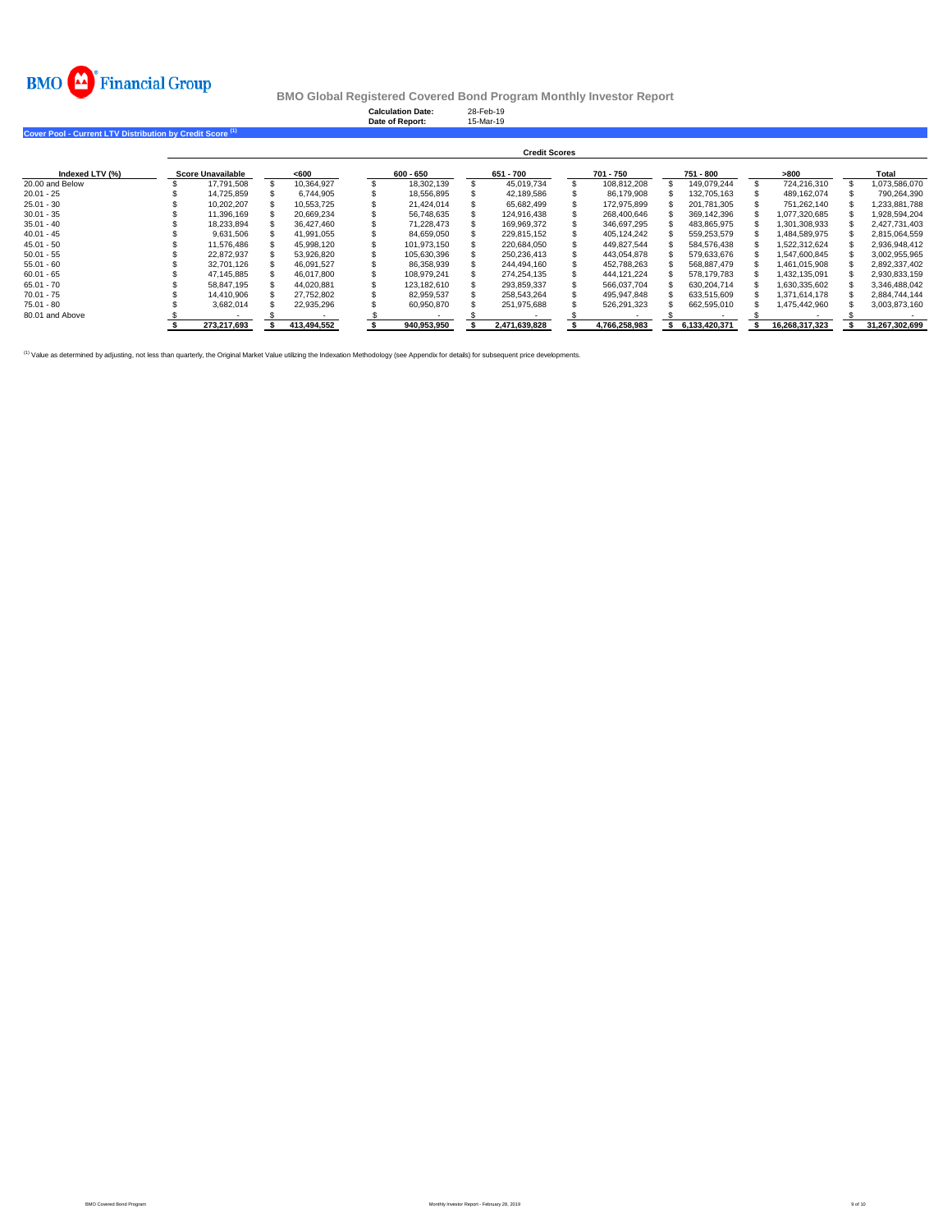

|                                                                      |                          |             | <b>Calculation Date:</b><br>Date of Report: | 28-Feb-19<br>15-Mar-19 |               |               |                |                |
|----------------------------------------------------------------------|--------------------------|-------------|---------------------------------------------|------------------------|---------------|---------------|----------------|----------------|
| Cover Pool - Current LTV Distribution by Credit Score <sup>(1)</sup> |                          |             |                                             |                        |               |               |                |                |
|                                                                      |                          |             |                                             | <b>Credit Scores</b>   |               |               |                |                |
| Indexed LTV (%)                                                      | <b>Score Unavailable</b> | <600        | $600 - 650$                                 | 651 - 700              | 701 - 750     | 751 - 800     | >800           | Total          |
| 20.00 and Below                                                      | 17.791.508               | 10.364.927  | 18,302,139                                  | 45.019.734             | 108,812,208   | 149.079.244   | 724,216,310    | 1,073,586,070  |
| $20.01 - 25$                                                         | 14,725,859               | 6.744.905   | 18,556,895                                  | 42,189,586             | 86,179,908    | 132,705,163   | 489,162,074    | 790,264,390    |
| $25.01 - 30$                                                         | 10,202,207               | 10,553,725  | 21.424.014                                  | 65.682.499             | 172,975,899   | 201.781.305   | 751,262,140    | 1,233,881,788  |
| $30.01 - 35$                                                         | 11,396,169               | 20,669,234  | 56,748,635                                  | 124,916,438            | 268,400,646   | 369,142,396   | 1,077,320,685  | 1,928,594,204  |
| $35.01 - 40$                                                         | 18.233.894               | 36.427.460  | 71.228.473                                  | 169.969.372            | 346.697.295   | 483.865.975   | 1,301,308,933  | 2,427,731,403  |
| $40.01 - 45$                                                         | 9,631,506                | 41.991.055  | 84.659.050                                  | 229.815.152            | 405.124.242   | 559.253.579   | 1.484.589.975  | 2,815,064,559  |
| $45.01 - 50$                                                         | 11.576.486               | 45.998.120  | 101.973.150                                 | 220.684.050            | 449.827.544   | 584.576.438   | 1,522,312,624  | 2,936,948,412  |
| $50.01 - 55$                                                         | 22.872.937               | 53.926.820  | 105.630.396                                 | 250.236.413            | 443,054,878   | 579,633,676   | 1,547,600,845  | 3,002,955,965  |
| $55.01 - 60$                                                         | 32.701.126               | 46.091.527  | 86.358.939                                  | 244.494.160            | 452.788.263   | 568.887.479   | 1.461.015.908  | 2,892,337,402  |
| $60.01 - 65$                                                         | 47,145,885               | 46.017.800  | 108.979.241                                 | 274,254,135            | 444,121,224   | 578,179,783   | 1,432,135,091  | 2,930,833,159  |
| $65.01 - 70$                                                         | 58,847,195               | 44,020,881  | 123,182,610                                 | 293,859,337            | 566,037,704   | 630,204,714   | 1,630,335,602  | 3,346,488,042  |
| $70.01 - 75$                                                         | 14,410,906               | 27.752.802  | 82.959.537                                  | 258.543.264            | 495,947,848   | 633.515.609   | 1,371,614,178  | 2,884,744,144  |
| $75.01 - 80$                                                         | 3,682,014                | 22,935,296  | 60,950,870                                  | 251,975,688            | 526,291,323   | 662,595,010   | 1,475,442,960  | 3,003,873,160  |
| 80.01 and Above                                                      |                          |             |                                             |                        |               |               |                |                |
|                                                                      | 273.217.693              | 413.494.552 | 940.953.950                                 | 2.471.639.828          | 4.766.258.983 | 6.133.420.371 | 16.268.317.323 | 31,267,302,699 |

<sup>(1)</sup> Value as determined by adjusting, not less than quarterly, the Original Market Value utilizing the Indexation Methodology (see Appendix for details) for subsequent price developments.